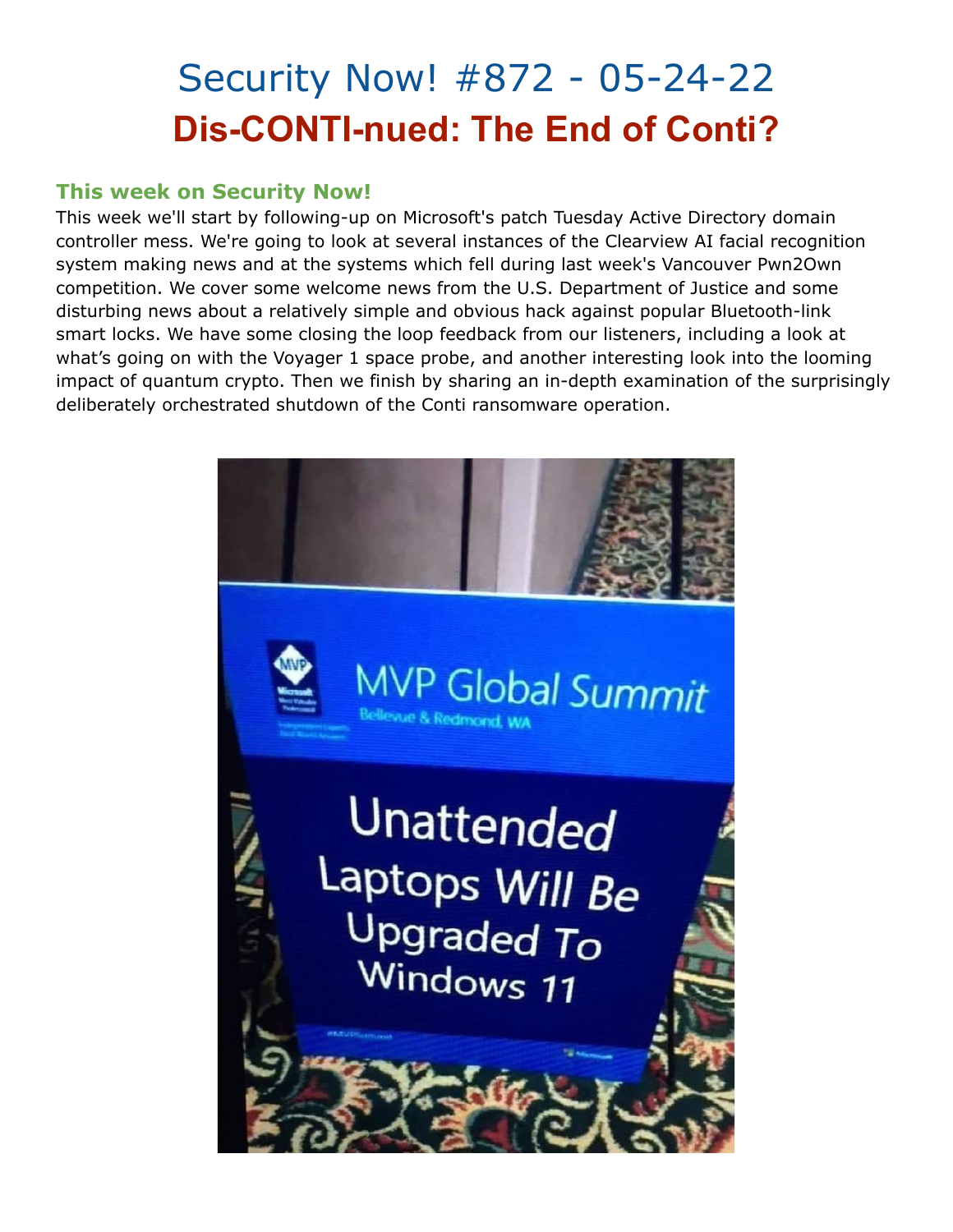## Security Now! #872 - 05-24-22 **Dis-CONTI-nued: The End of Conti?**

#### **This week on Security Now!**

This week we'll start by following-up on Microsoft's patch Tuesday Active Directory domain controller mess. We're going to look at several instances of the Clearview AI facial recognition system making news and at the systems which fell during last week's Vancouver Pwn2Own competition. We cover some welcome news from the U.S. Department of Justice and some disturbing news about a relatively simple and obvious hack against popular Bluetooth-link smart locks. We have some closing the loop feedback from our listeners, including a look at what's going on with the Voyager 1 space probe, and another interesting look into the looming impact of quantum crypto. Then we finish by sharing an in-depth examination of the surprisingly deliberately orchestrated shutdown of the Conti ransomware operation.

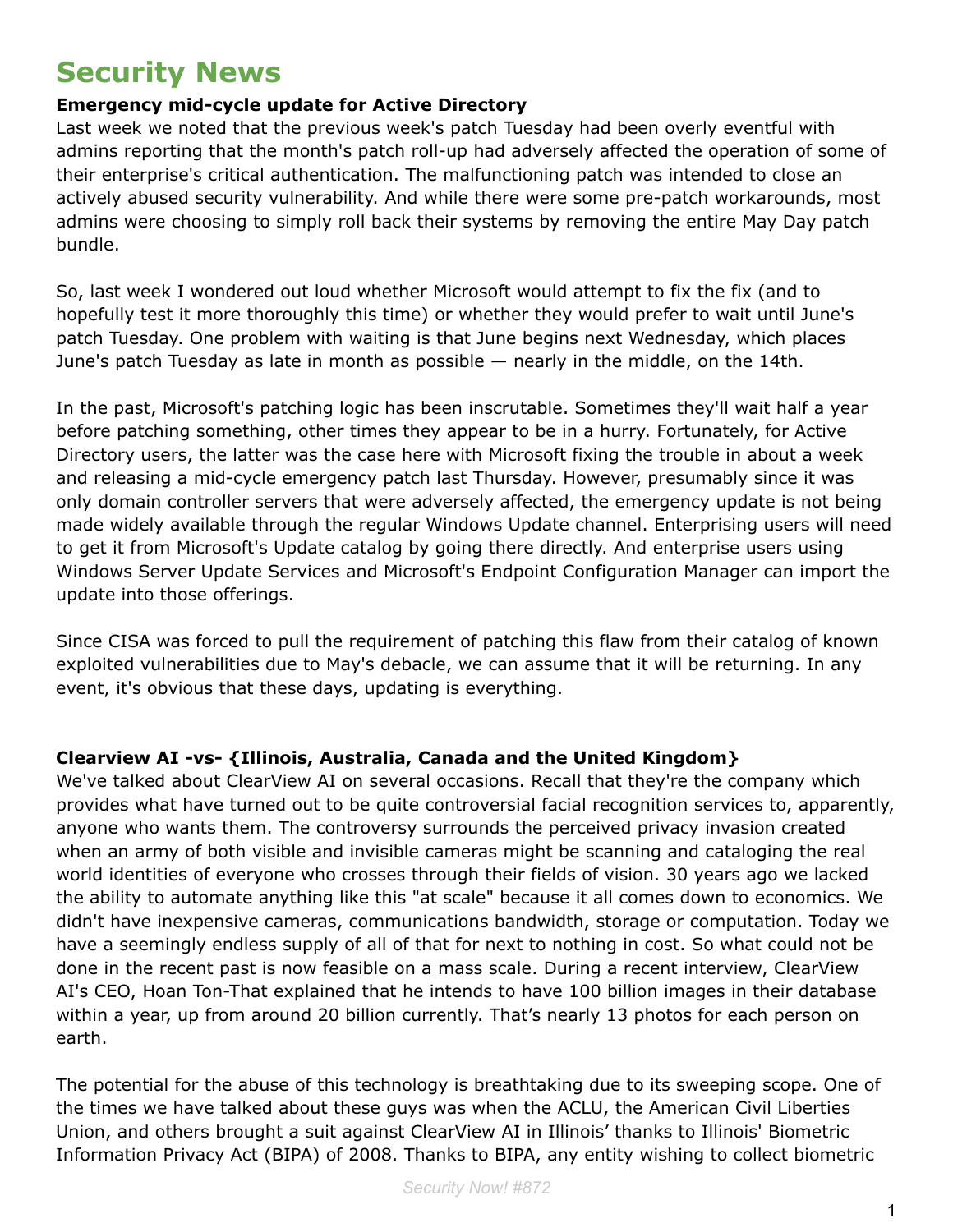### **Security News**

#### **Emergency mid-cycle update for Active Directory**

Last week we noted that the previous week's patch Tuesday had been overly eventful with admins reporting that the month's patch roll-up had adversely affected the operation of some of their enterprise's critical authentication. The malfunctioning patch was intended to close an actively abused security vulnerability. And while there were some pre-patch workarounds, most admins were choosing to simply roll back their systems by removing the entire May Day patch bundle.

So, last week I wondered out loud whether Microsoft would attempt to fix the fix (and to hopefully test it more thoroughly this time) or whether they would prefer to wait until June's patch Tuesday. One problem with waiting is that June begins next Wednesday, which places June's patch Tuesday as late in month as possible — nearly in the middle, on the 14th.

In the past, Microsoft's patching logic has been inscrutable. Sometimes they'll wait half a year before patching something, other times they appear to be in a hurry. Fortunately, for Active Directory users, the latter was the case here with Microsoft fixing the trouble in about a week and releasing a mid-cycle emergency patch last Thursday. However, presumably since it was only domain controller servers that were adversely affected, the emergency update is not being made widely available through the regular Windows Update channel. Enterprising users will need to get it from Microsoft's Update catalog by going there directly. And enterprise users using Windows Server Update Services and Microsoft's Endpoint Configuration Manager can import the update into those offerings.

Since CISA was forced to pull the requirement of patching this flaw from their catalog of known exploited vulnerabilities due to May's debacle, we can assume that it will be returning. In any event, it's obvious that these days, updating is everything.

#### **Clearview AI -vs- {Illinois, Australia, Canada and the United Kingdom}**

We've talked about ClearView AI on several occasions. Recall that they're the company which provides what have turned out to be quite controversial facial recognition services to, apparently, anyone who wants them. The controversy surrounds the perceived privacy invasion created when an army of both visible and invisible cameras might be scanning and cataloging the real world identities of everyone who crosses through their fields of vision. 30 years ago we lacked the ability to automate anything like this "at scale" because it all comes down to economics. We didn't have inexpensive cameras, communications bandwidth, storage or computation. Today we have a seemingly endless supply of all of that for next to nothing in cost. So what could not be done in the recent past is now feasible on a mass scale. During a recent interview, ClearView AI's CEO, Hoan Ton-That explained that he intends to have 100 billion images in their database within a year, up from around 20 billion currently. That's nearly 13 photos for each person on earth.

The potential for the abuse of this technology is breathtaking due to its sweeping scope. One of the times we have talked about these guys was when the ACLU, the American Civil Liberties Union, and others brought a suit against ClearView AI in Illinois' thanks to Illinois' Biometric Information Privacy Act (BIPA) of 2008. Thanks to BIPA, any entity wishing to collect biometric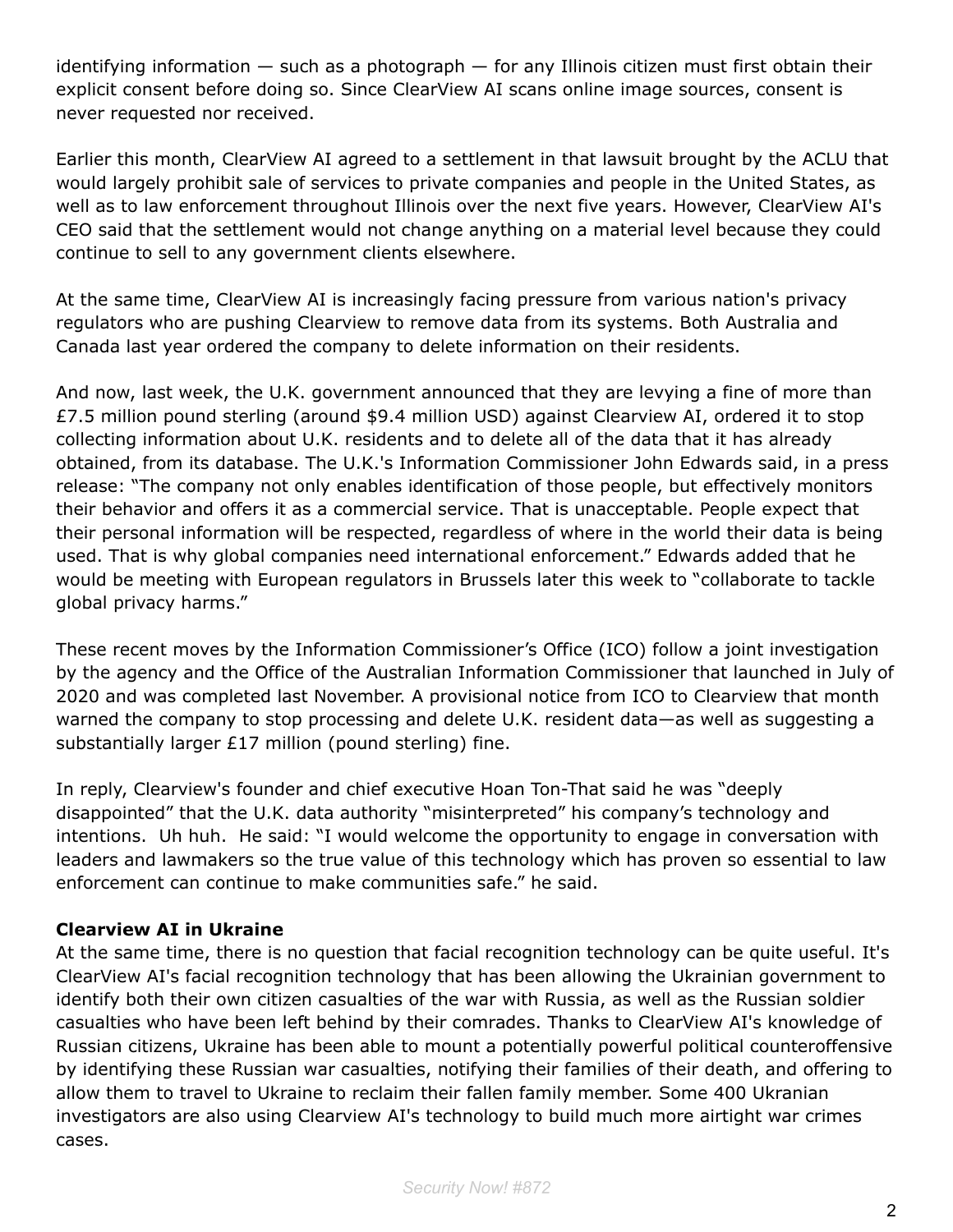identifying information  $-$  such as a photograph  $-$  for any Illinois citizen must first obtain their explicit consent before doing so. Since ClearView AI scans online image sources, consent is never requested nor received.

Earlier this month, ClearView AI agreed to a settlement in that lawsuit brought by the ACLU that would largely prohibit sale of services to private companies and people in the United States, as well as to law enforcement throughout Illinois over the next five years. However, ClearView AI's CEO said that the settlement would not change anything on a material level because they could continue to sell to any government clients elsewhere.

At the same time, ClearView AI is increasingly facing pressure from various nation's privacy regulators who are pushing Clearview to remove data from its systems. Both Australia and Canada last year ordered the company to delete information on their residents.

And now, last week, the U.K. government announced that they are levying a fine of more than £7.5 million pound sterling (around \$9.4 million USD) against Clearview AI, ordered it to stop collecting information about U.K. residents and to delete all of the data that it has already obtained, from its database. The U.K.'s Information Commissioner John Edwards said, in a press release: "The company not only enables identification of those people, but effectively monitors their behavior and offers it as a commercial service. That is unacceptable. People expect that their personal information will be respected, regardless of where in the world their data is being used. That is why global companies need international enforcement." Edwards added that he would be meeting with European regulators in Brussels later this week to "collaborate to tackle global privacy harms."

These recent moves by the Information Commissioner's Office (ICO) follow a joint investigation by the agency and the Office of the Australian Information Commissioner that launched in July of 2020 and was completed last November. A provisional notice from ICO to Clearview that month warned the company to stop processing and delete U.K. resident data—as well as suggesting a substantially larger £17 million (pound sterling) fine.

In reply, Clearview's founder and chief executive Hoan Ton-That said he was "deeply disappointed" that the U.K. data authority "misinterpreted" his company's technology and intentions. Uh huh. He said: "I would welcome the opportunity to engage in conversation with leaders and lawmakers so the true value of this technology which has proven so essential to law enforcement can continue to make communities safe." he said.

#### **Clearview AI in Ukraine**

At the same time, there is no question that facial recognition technology can be quite useful. It's ClearView AI's facial recognition technology that has been allowing the Ukrainian government to identify both their own citizen casualties of the war with Russia, as well as the Russian soldier casualties who have been left behind by their comrades. Thanks to ClearView AI's knowledge of Russian citizens, Ukraine has been able to mount a potentially powerful political counteroffensive by identifying these Russian war casualties, notifying their families of their death, and offering to allow them to travel to Ukraine to reclaim their fallen family member. Some 400 Ukranian investigators are also using Clearview AI's technology to build much more airtight war crimes cases.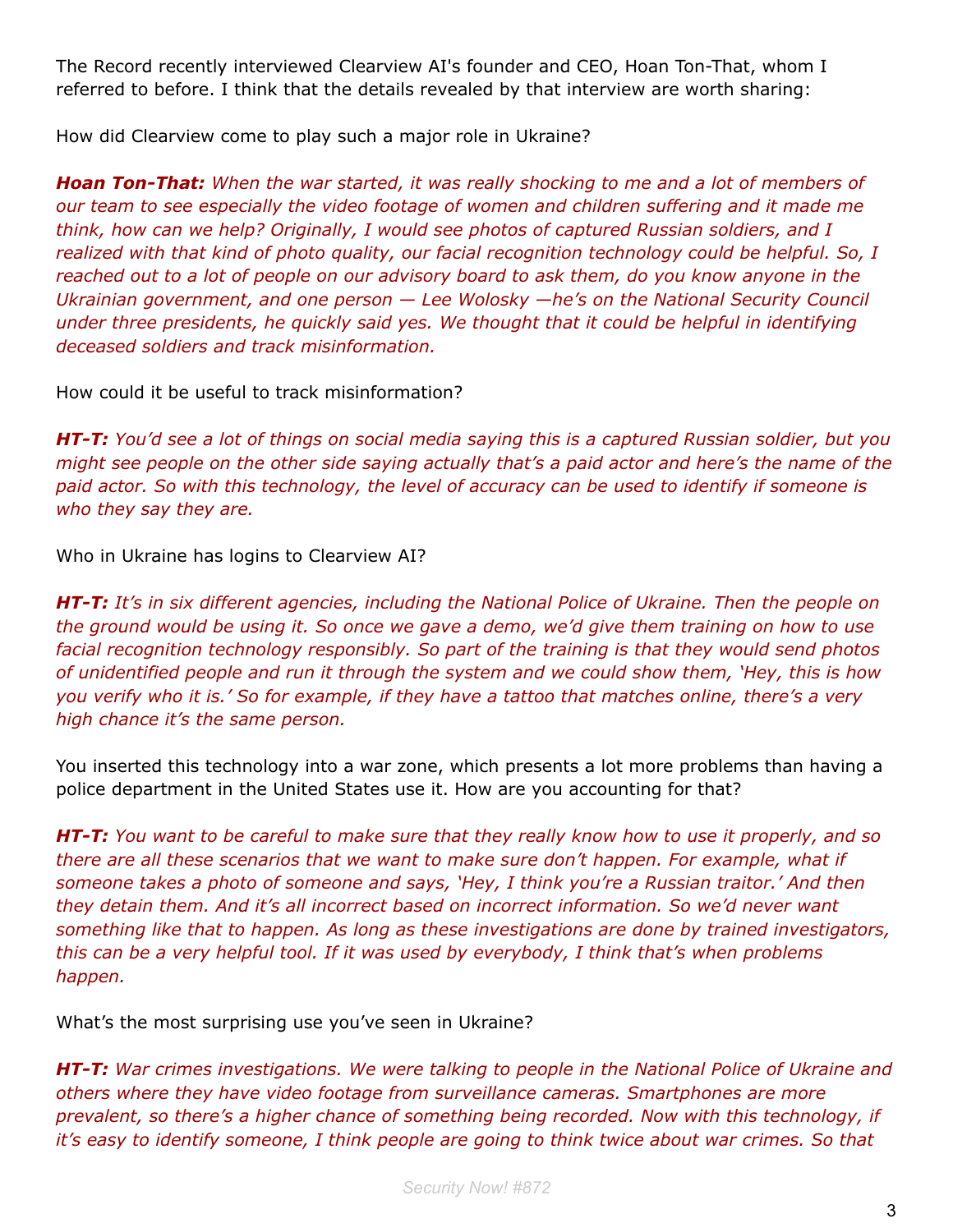The Record recently interviewed Clearview AI's founder and CEO, Hoan Ton-That, whom I referred to before. I think that the details revealed by that interview are worth sharing:

How did Clearview come to play such a major role in Ukraine?

*Hoan Ton-That: When the war started, it was really shocking to me and a lot of members of our team to see especially the video footage of women and children suffering and it made me think, how can we help? Originally, I would see photos of captured Russian soldiers, and I realized with that kind of photo quality, our facial recognition technology could be helpful. So, I reached out to a lot of people on our advisory board to ask them, do you know anyone in the Ukrainian government, and one person — Lee Wolosky —he's on the National Security Council under three presidents, he quickly said yes. We thought that it could be helpful in identifying deceased soldiers and track misinformation.*

How could it be useful to track misinformation?

*HT-T: You'd see a lot of things on social media saying this is a captured Russian soldier, but you might see people on the other side saying actually that's a paid actor and here's the name of the paid actor. So with this technology, the level of accuracy can be used to identify if someone is who they say they are.*

Who in Ukraine has logins to Clearview AI?

*HT-T: It's in six different agencies, including the National Police of Ukraine. Then the people on the ground would be using it. So once we gave a demo, we'd give them training on how to use facial recognition technology responsibly. So part of the training is that they would send photos of unidentified people and run it through the system and we could show them, 'Hey, this is how you verify who it is.' So for example, if they have a tattoo that matches online, there's a very high chance it's the same person.*

You inserted this technology into a war zone, which presents a lot more problems than having a police department in the United States use it. How are you accounting for that?

*HT-T: You want to be careful to make sure that they really know how to use it properly, and so there are all these scenarios that we want to make sure don't happen. For example, what if someone takes a photo of someone and says, 'Hey, I think you're a Russian traitor.' And then they detain them. And it's all incorrect based on incorrect information. So we'd never want something like that to happen. As long as these investigations are done by trained investigators, this can be a very helpful tool. If it was used by everybody, I think that's when problems happen.*

What's the most surprising use you've seen in Ukraine?

*HT-T: War crimes investigations. We were talking to people in the National Police of Ukraine and others where they have video footage from surveillance cameras. Smartphones are more prevalent, so there's a higher chance of something being recorded. Now with this technology, if it's easy to identify someone, I think people are going to think twice about war crimes. So that*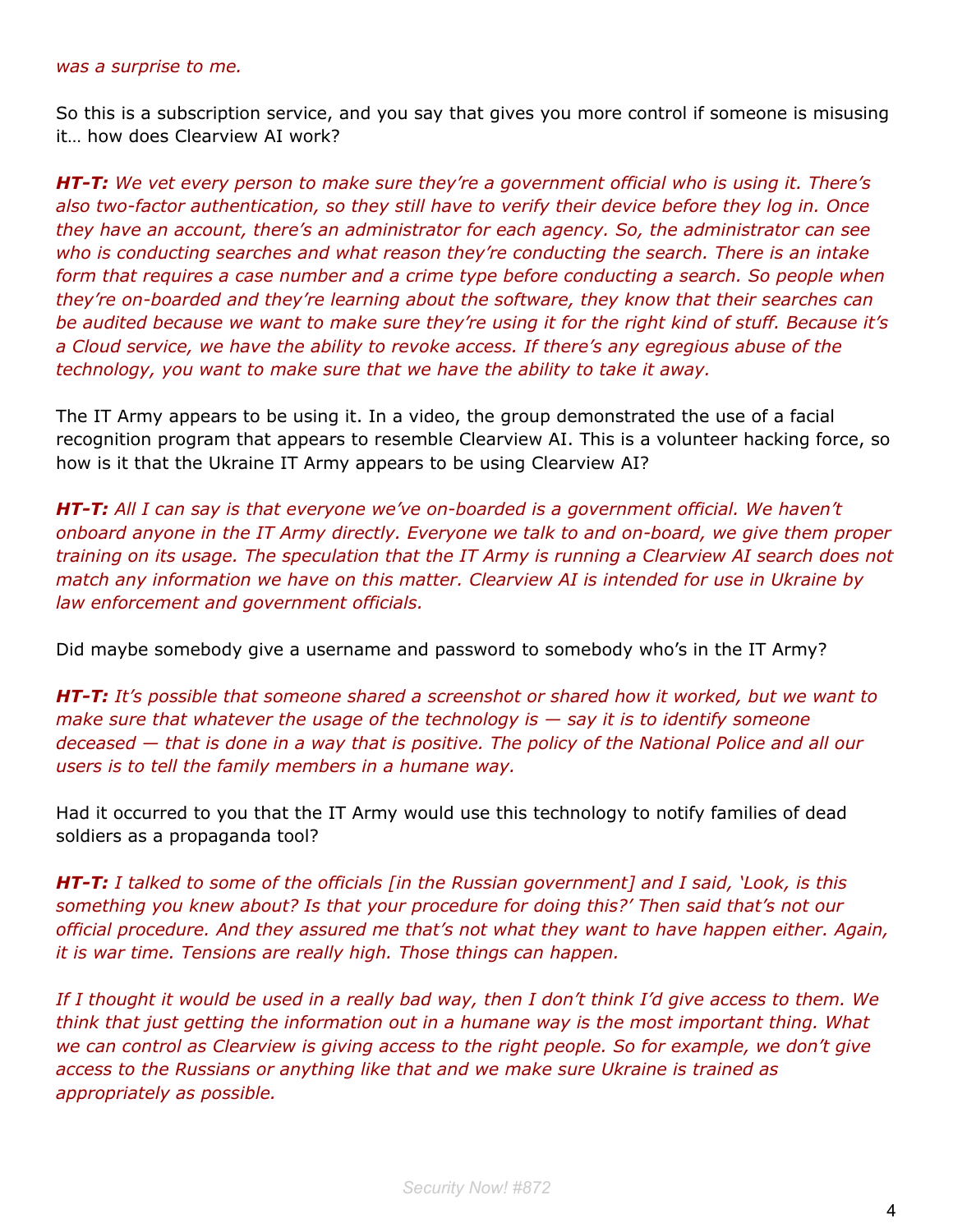#### *was a surprise to me.*

So this is a subscription service, and you say that gives you more control if someone is misusing it… how does Clearview AI work?

*HT-T: We vet every person to make sure they're a government official who is using it. There's also two-factor authentication, so they still have to verify their device before they log in. Once they have an account, there's an administrator for each agency. So, the administrator can see who is conducting searches and what reason they're conducting the search. There is an intake form that requires a case number and a crime type before conducting a search. So people when they're on-boarded and they're learning about the software, they know that their searches can be audited because we want to make sure they're using it for the right kind of stuff. Because it's a Cloud service, we have the ability to revoke access. If there's any egregious abuse of the technology, you want to make sure that we have the ability to take it away.*

The IT Army appears to be using it. In a video, the group demonstrated the use of a facial recognition program that appears to resemble Clearview AI. This is a volunteer hacking force, so how is it that the Ukraine IT Army appears to be using Clearview AI?

*HT-T: All I can say is that everyone we've on-boarded is a government official. We haven't onboard anyone in the IT Army directly. Everyone we talk to and on-board, we give them proper training on its usage. The speculation that the IT Army is running a Clearview AI search does not match any information we have on this matter. Clearview AI is intended for use in Ukraine by law enforcement and government officials.*

Did maybe somebody give a username and password to somebody who's in the IT Army?

*HT-T: It's possible that someone shared a screenshot or shared how it worked, but we want to make sure that whatever the usage of the technology is — say it is to identify someone deceased — that is done in a way that is positive. The policy of the National Police and all our users is to tell the family members in a humane way.*

Had it occurred to you that the IT Army would use this technology to notify families of dead soldiers as a propaganda tool?

*HT-T: I talked to some of the officials [in the Russian government] and I said, 'Look, is this something you knew about? Is that your procedure for doing this?' Then said that's not our official procedure. And they assured me that's not what they want to have happen either. Again, it is war time. Tensions are really high. Those things can happen.*

*If I thought it would be used in a really bad way, then I don't think I'd give access to them. We think that just getting the information out in a humane way is the most important thing. What we can control as Clearview is giving access to the right people. So for example, we don't give access to the Russians or anything like that and we make sure Ukraine is trained as appropriately as possible.*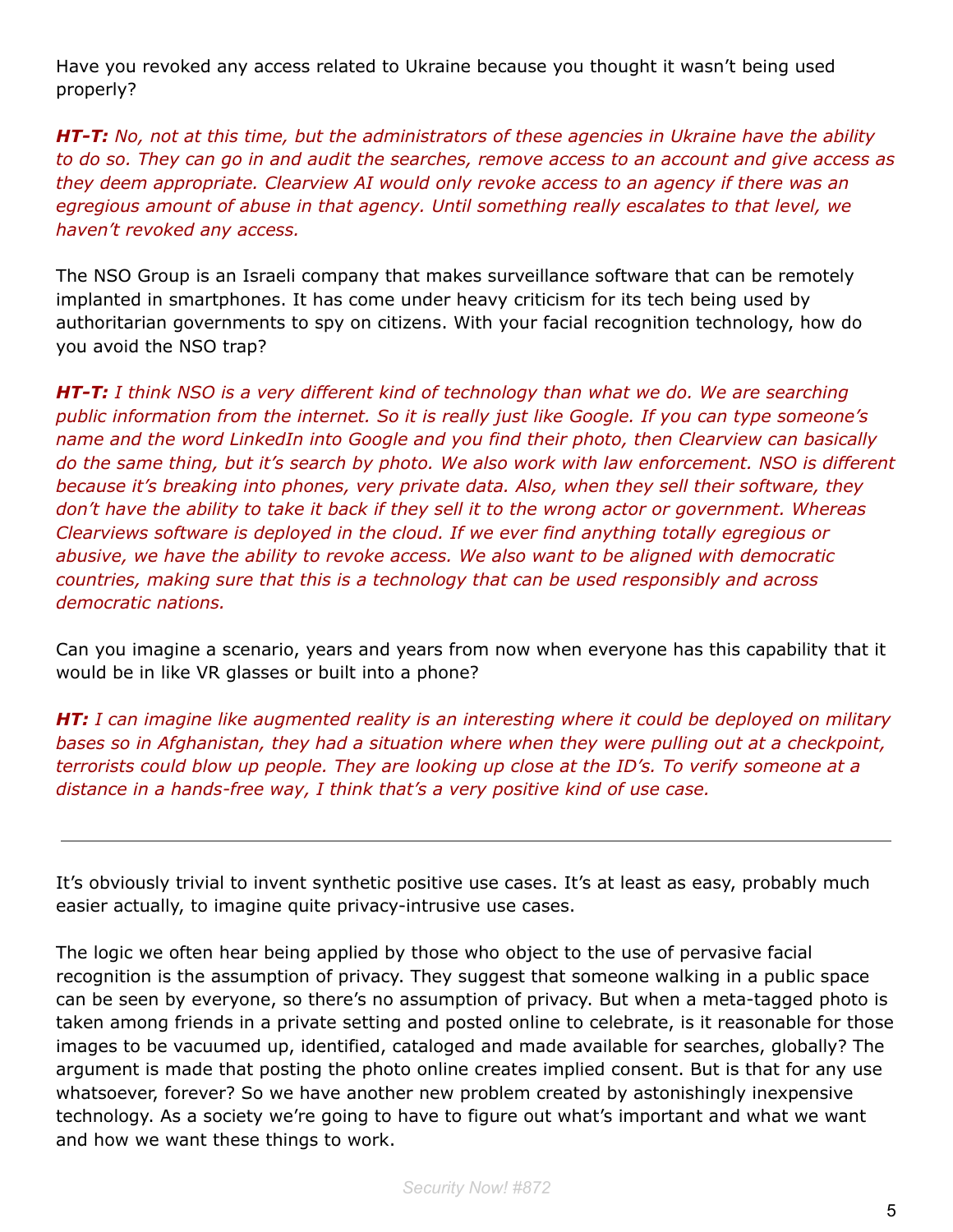Have you revoked any access related to Ukraine because you thought it wasn't being used properly?

*HT-T: No, not at this time, but the administrators of these agencies in Ukraine have the ability to do so. They can go in and audit the searches, remove access to an account and give access as they deem appropriate. Clearview AI would only revoke access to an agency if there was an egregious amount of abuse in that agency. Until something really escalates to that level, we haven't revoked any access.*

The NSO Group is an Israeli company that makes surveillance software that can be remotely implanted in smartphones. It has come under heavy criticism for its tech being used by authoritarian governments to spy on citizens. With your facial recognition technology, how do you avoid the NSO trap?

*HT-T: I think NSO is a very different kind of technology than what we do. We are searching public information from the internet. So it is really just like Google. If you can type someone's name and the word LinkedIn into Google and you find their photo, then Clearview can basically do the same thing, but it's search by photo. We also work with law enforcement. NSO is different because it's breaking into phones, very private data. Also, when they sell their software, they don't have the ability to take it back if they sell it to the wrong actor or government. Whereas Clearviews software is deployed in the cloud. If we ever find anything totally egregious or abusive, we have the ability to revoke access. We also want to be aligned with democratic countries, making sure that this is a technology that can be used responsibly and across democratic nations.*

Can you imagine a scenario, years and years from now when everyone has this capability that it would be in like VR glasses or built into a phone?

*HT: I can imagine like augmented reality is an interesting where it could be deployed on military bases so in Afghanistan, they had a situation where when they were pulling out at a checkpoint, terrorists could blow up people. They are looking up close at the ID's. To verify someone at a distance in a hands-free way, I think that's a very positive kind of use case.*

It's obviously trivial to invent synthetic positive use cases. It's at least as easy, probably much easier actually, to imagine quite privacy-intrusive use cases.

The logic we often hear being applied by those who object to the use of pervasive facial recognition is the assumption of privacy. They suggest that someone walking in a public space can be seen by everyone, so there's no assumption of privacy. But when a meta-tagged photo is taken among friends in a private setting and posted online to celebrate, is it reasonable for those images to be vacuumed up, identified, cataloged and made available for searches, globally? The argument is made that posting the photo online creates implied consent. But is that for any use whatsoever, forever? So we have another new problem created by astonishingly inexpensive technology. As a society we're going to have to figure out what's important and what we want and how we want these things to work.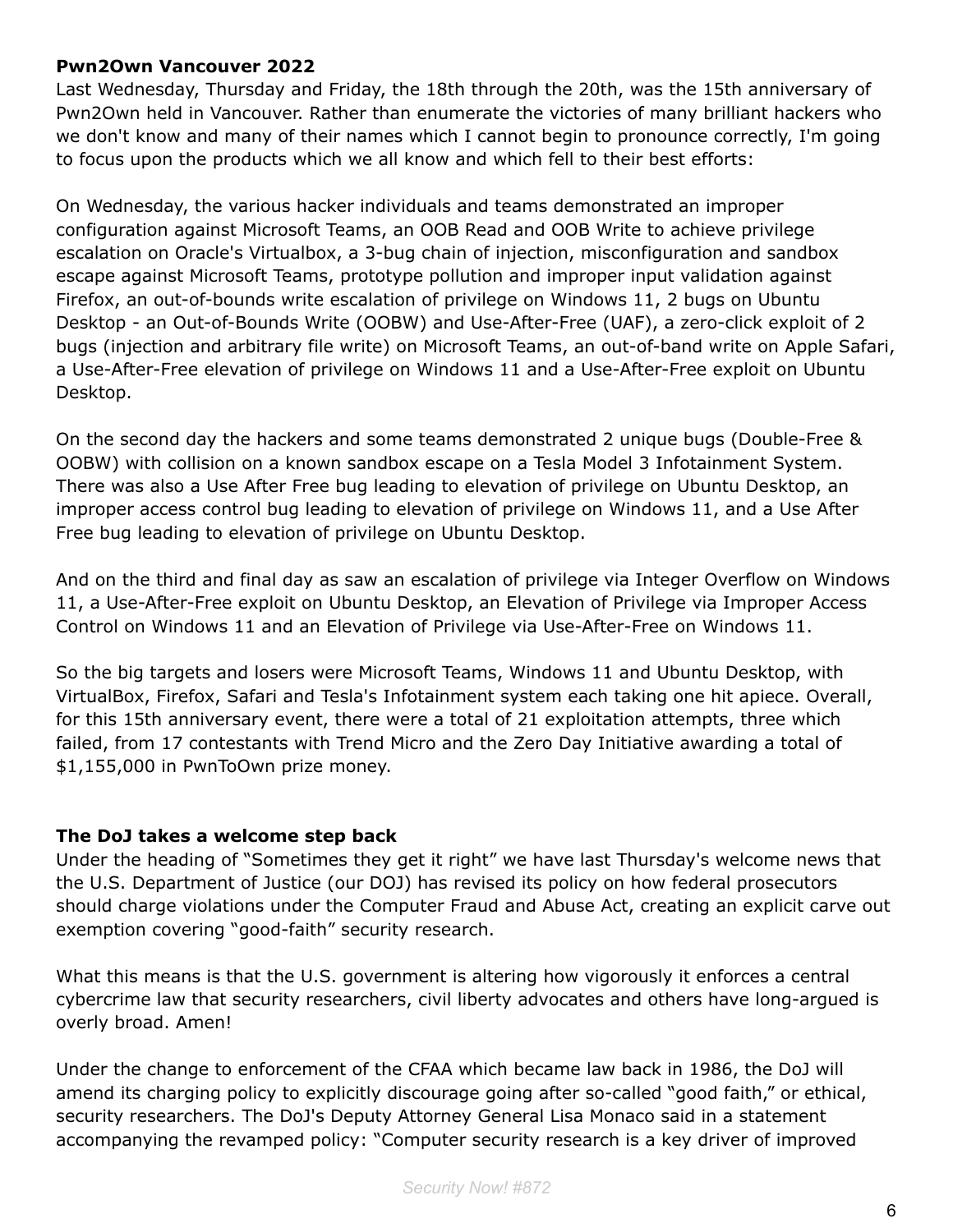#### **Pwn2Own Vancouver 2022**

Last Wednesday, Thursday and Friday, the 18th through the 20th, was the 15th anniversary of Pwn2Own held in Vancouver. Rather than enumerate the victories of many brilliant hackers who we don't know and many of their names which I cannot begin to pronounce correctly, I'm going to focus upon the products which we all know and which fell to their best efforts:

On Wednesday, the various hacker individuals and teams demonstrated an improper configuration against Microsoft Teams, an OOB Read and OOB Write to achieve privilege escalation on Oracle's Virtualbox, a 3-bug chain of injection, misconfiguration and sandbox escape against Microsoft Teams, prototype pollution and improper input validation against Firefox, an out-of-bounds write escalation of privilege on Windows 11, 2 bugs on Ubuntu Desktop - an Out-of-Bounds Write (OOBW) and Use-After-Free (UAF), a zero-click exploit of 2 bugs (injection and arbitrary file write) on Microsoft Teams, an out-of-band write on Apple Safari, a Use-After-Free elevation of privilege on Windows 11 and a Use-After-Free exploit on Ubuntu Desktop.

On the second day the hackers and some teams demonstrated 2 unique bugs (Double-Free & OOBW) with collision on a known sandbox escape on a Tesla Model 3 Infotainment System. There was also a Use After Free bug leading to elevation of privilege on Ubuntu Desktop, an improper access control bug leading to elevation of privilege on Windows 11, and a Use After Free bug leading to elevation of privilege on Ubuntu Desktop.

And on the third and final day as saw an escalation of privilege via Integer Overflow on Windows 11, a Use-After-Free exploit on Ubuntu Desktop, an Elevation of Privilege via Improper Access Control on Windows 11 and an Elevation of Privilege via Use-After-Free on Windows 11.

So the big targets and losers were Microsoft Teams, Windows 11 and Ubuntu Desktop, with VirtualBox, Firefox, Safari and Tesla's Infotainment system each taking one hit apiece. Overall, for this 15th anniversary event, there were a total of 21 exploitation attempts, three which failed, from 17 contestants with Trend Micro and the Zero Day Initiative awarding a total of \$1,155,000 in PwnToOwn prize money.

#### **The DoJ takes a welcome step back**

Under the heading of "Sometimes they get it right" we have last Thursday's welcome news that the U.S. Department of Justice (our DOJ) has revised its policy on how federal prosecutors should charge violations under the Computer Fraud and Abuse Act, creating an explicit carve out exemption covering "good-faith" security research.

What this means is that the U.S. government is altering how vigorously it enforces a central cybercrime law that security researchers, civil liberty advocates and others have long-argued is overly broad. Amen!

Under the change to enforcement of the CFAA which became law back in 1986, the DoJ will amend its charging policy to explicitly discourage going after so-called "good faith," or ethical, security researchers. The DoJ's Deputy Attorney General Lisa Monaco said in a statement accompanying the revamped policy: "Computer security research is a key driver of improved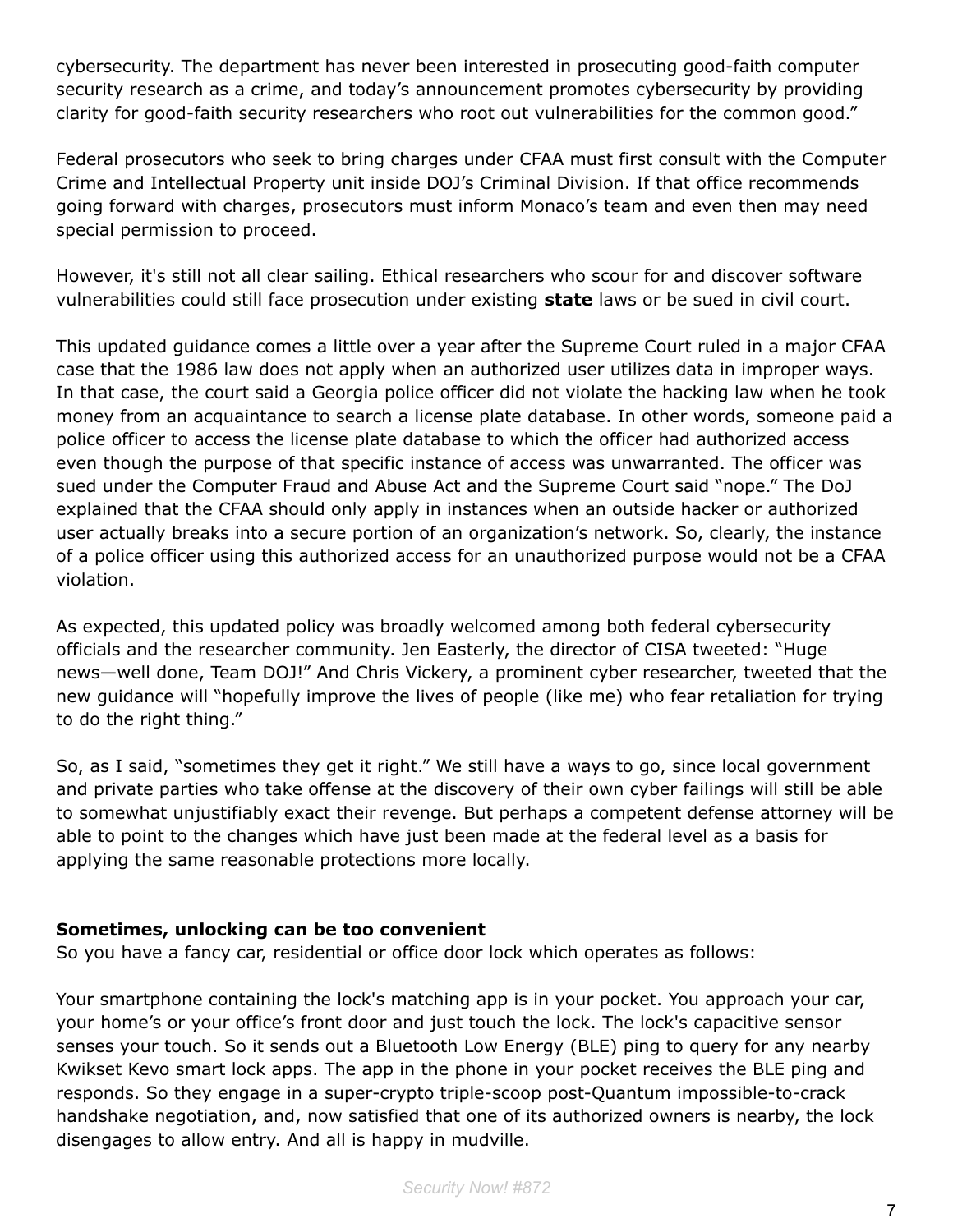cybersecurity. The department has never been interested in prosecuting good-faith computer security research as a crime, and today's announcement promotes cybersecurity by providing clarity for good-faith security researchers who root out vulnerabilities for the common good."

Federal prosecutors who seek to bring charges under CFAA must first consult with the Computer Crime and Intellectual Property unit inside DOJ's Criminal Division. If that office recommends going forward with charges, prosecutors must inform Monaco's team and even then may need special permission to proceed.

However, it's still not all clear sailing. Ethical researchers who scour for and discover software vulnerabilities could still face prosecution under existing **state** laws or be sued in civil court.

This updated guidance comes a little over a year after the Supreme Court ruled in a major CFAA case that the 1986 law does not apply when an authorized user utilizes data in improper ways. In that case, the court said a Georgia police officer did not violate the hacking law when he took money from an acquaintance to search a license plate database. In other words, someone paid a police officer to access the license plate database to which the officer had authorized access even though the purpose of that specific instance of access was unwarranted. The officer was sued under the Computer Fraud and Abuse Act and the Supreme Court said "nope." The DoJ explained that the CFAA should only apply in instances when an outside hacker or authorized user actually breaks into a secure portion of an organization's network. So, clearly, the instance of a police officer using this authorized access for an unauthorized purpose would not be a CFAA violation.

As expected, this updated policy was broadly welcomed among both federal cybersecurity officials and the researcher community. Jen Easterly, the director of CISA tweeted: "Huge news—well done, Team DOJ!" And Chris Vickery, a prominent cyber researcher, tweeted that the new guidance will "hopefully improve the lives of people (like me) who fear retaliation for trying to do the right thing."

So, as I said, "sometimes they get it right." We still have a ways to go, since local government and private parties who take offense at the discovery of their own cyber failings will still be able to somewhat unjustifiably exact their revenge. But perhaps a competent defense attorney will be able to point to the changes which have just been made at the federal level as a basis for applying the same reasonable protections more locally.

#### **Sometimes, unlocking can be too convenient**

So you have a fancy car, residential or office door lock which operates as follows:

Your smartphone containing the lock's matching app is in your pocket. You approach your car, your home's or your office's front door and just touch the lock. The lock's capacitive sensor senses your touch. So it sends out a Bluetooth Low Energy (BLE) ping to query for any nearby Kwikset Kevo smart lock apps. The app in the phone in your pocket receives the BLE ping and responds. So they engage in a super-crypto triple-scoop post-Quantum impossible-to-crack handshake negotiation, and, now satisfied that one of its authorized owners is nearby, the lock disengages to allow entry. And all is happy in mudville.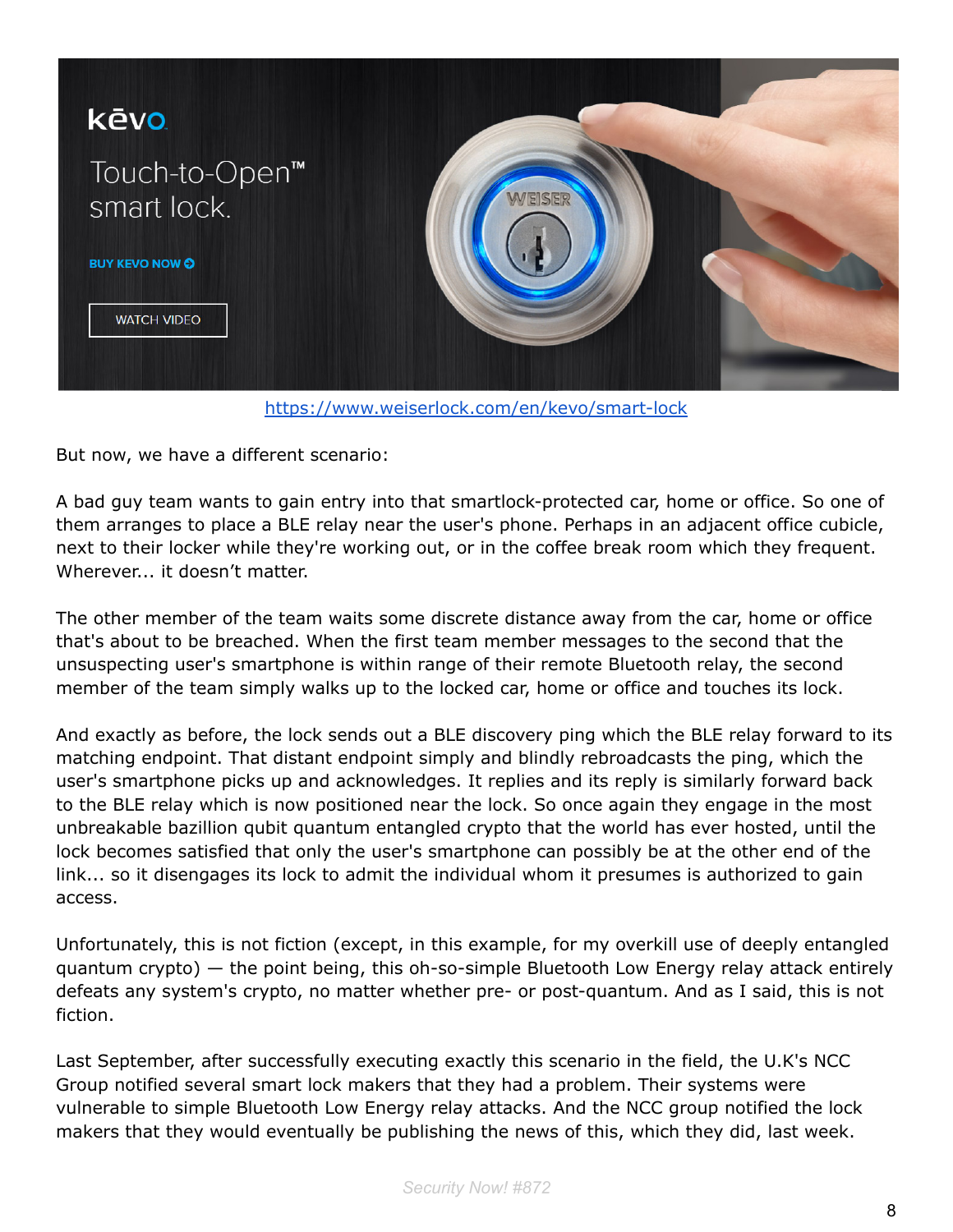

<https://www.weiserlock.com/en/kevo/smart-lock>

But now, we have a different scenario:

A bad guy team wants to gain entry into that smartlock-protected car, home or office. So one of them arranges to place a BLE relay near the user's phone. Perhaps in an adjacent office cubicle, next to their locker while they're working out, or in the coffee break room which they frequent. Wherever... it doesn't matter.

The other member of the team waits some discrete distance away from the car, home or office that's about to be breached. When the first team member messages to the second that the unsuspecting user's smartphone is within range of their remote Bluetooth relay, the second member of the team simply walks up to the locked car, home or office and touches its lock.

And exactly as before, the lock sends out a BLE discovery ping which the BLE relay forward to its matching endpoint. That distant endpoint simply and blindly rebroadcasts the ping, which the user's smartphone picks up and acknowledges. It replies and its reply is similarly forward back to the BLE relay which is now positioned near the lock. So once again they engage in the most unbreakable bazillion qubit quantum entangled crypto that the world has ever hosted, until the lock becomes satisfied that only the user's smartphone can possibly be at the other end of the link... so it disengages its lock to admit the individual whom it presumes is authorized to gain access.

Unfortunately, this is not fiction (except, in this example, for my overkill use of deeply entangled quantum crypto) — the point being, this oh-so-simple Bluetooth Low Energy relay attack entirely defeats any system's crypto, no matter whether pre- or post-quantum. And as I said, this is not fiction.

Last September, after successfully executing exactly this scenario in the field, the U.K's NCC Group notified several smart lock makers that they had a problem. Their systems were vulnerable to simple Bluetooth Low Energy relay attacks. And the NCC group notified the lock makers that they would eventually be publishing the news of this, which they did, last week.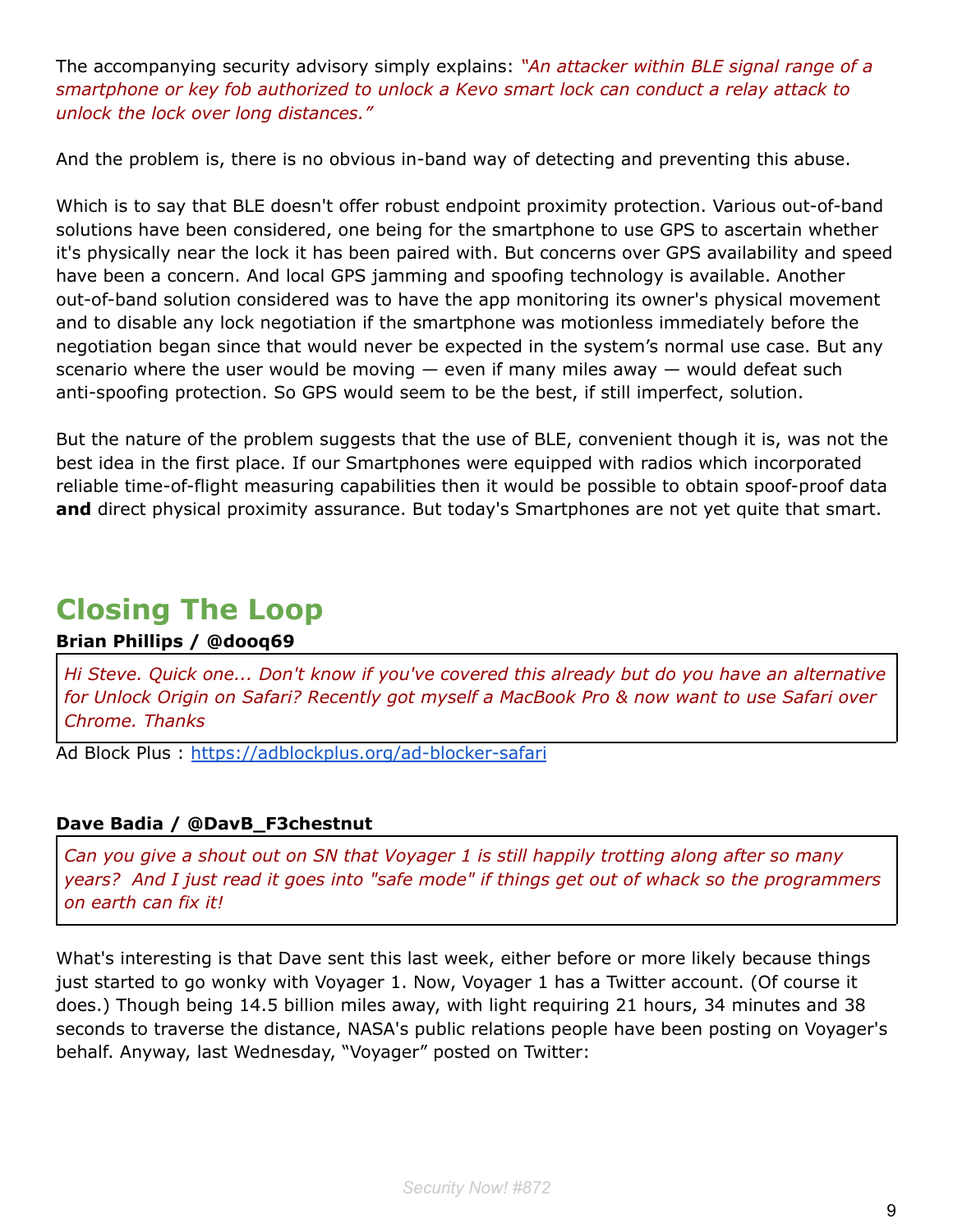The accompanying security advisory simply explains: *"An attacker within BLE signal range of a smartphone or key fob authorized to unlock a Kevo smart lock can conduct a relay attack to unlock the lock over long distances."*

And the problem is, there is no obvious in-band way of detecting and preventing this abuse.

Which is to say that BLE doesn't offer robust endpoint proximity protection. Various out-of-band solutions have been considered, one being for the smartphone to use GPS to ascertain whether it's physically near the lock it has been paired with. But concerns over GPS availability and speed have been a concern. And local GPS jamming and spoofing technology is available. Another out-of-band solution considered was to have the app monitoring its owner's physical movement and to disable any lock negotiation if the smartphone was motionless immediately before the negotiation began since that would never be expected in the system's normal use case. But any scenario where the user would be moving  $-$  even if many miles away  $-$  would defeat such anti-spoofing protection. So GPS would seem to be the best, if still imperfect, solution.

But the nature of the problem suggests that the use of BLE, convenient though it is, was not the best idea in the first place. If our Smartphones were equipped with radios which incorporated reliable time-of-flight measuring capabilities then it would be possible to obtain spoof-proof data **and** direct physical proximity assurance. But today's Smartphones are not yet quite that smart.

## **Closing The Loop**

#### **Brian Phillips / @dooq69**

*Hi Steve. Quick one... Don't know if you've covered this already but do you have an alternative for Unlock Origin on Safari? Recently got myself a MacBook Pro & now want to use Safari over Chrome. Thanks*

Ad Block Plus : <https://adblockplus.org/ad-blocker-safari>

#### **Dave Badia / @DavB\_F3chestnut**

*Can you give a shout out on SN that Voyager 1 is still happily trotting along after so many years? And I just read it goes into "safe mode" if things get out of whack so the programmers on earth can fix it!*

What's interesting is that Dave sent this last week, either before or more likely because things just started to go wonky with Voyager 1. Now, Voyager 1 has a Twitter account. (Of course it does.) Though being 14.5 billion miles away, with light requiring 21 hours, 34 minutes and 38 seconds to traverse the distance, NASA's public relations people have been posting on Voyager's behalf. Anyway, last Wednesday, "Voyager" posted on Twitter: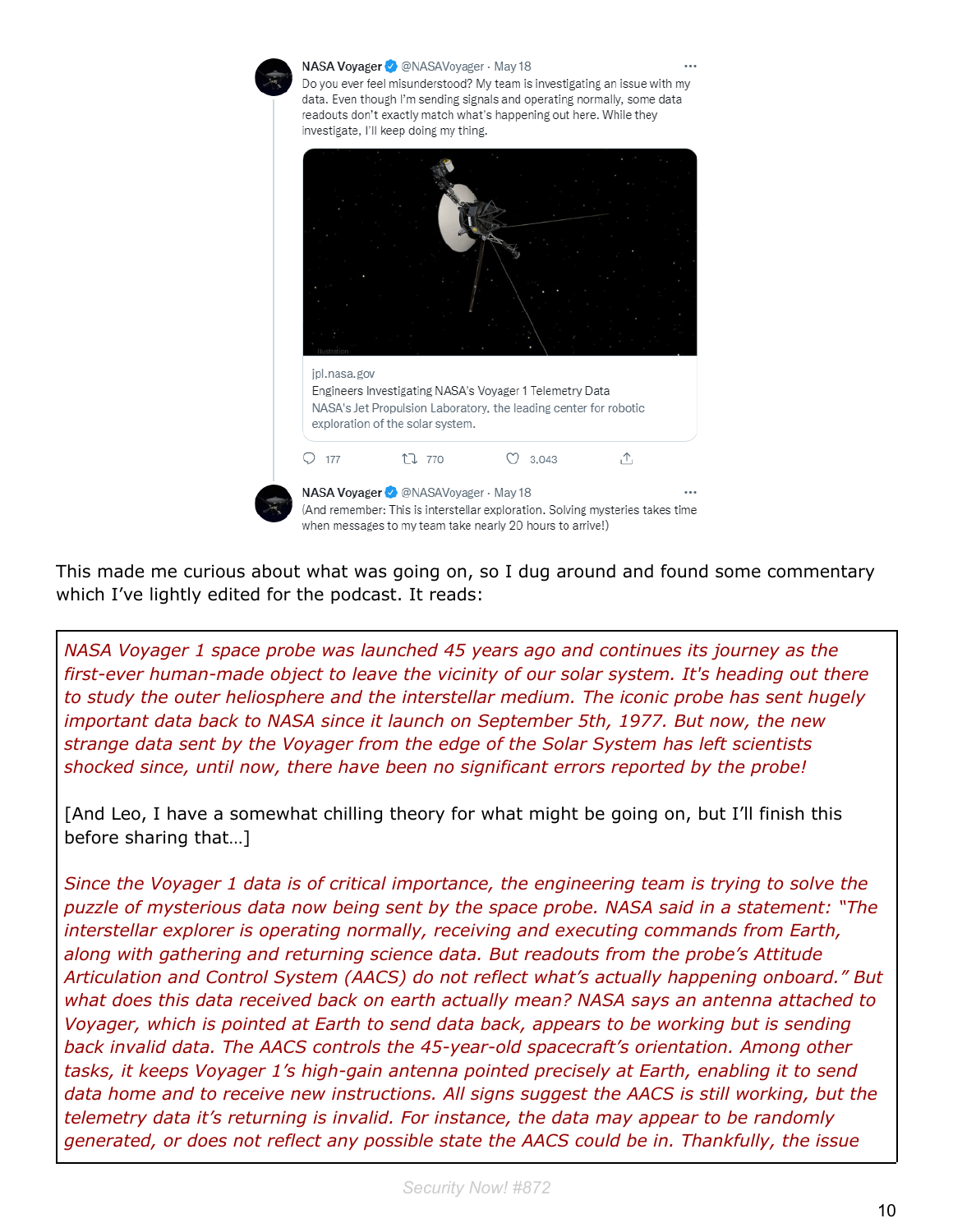

This made me curious about what was going on, so I dug around and found some commentary which I've lightly edited for the podcast. It reads:

*NASA Voyager 1 space probe was launched 45 years ago and continues its journey as the first-ever human-made object to leave the vicinity of our solar system. It's heading out there to study the outer heliosphere and the interstellar medium. The iconic probe has sent hugely important data back to NASA since it launch on September 5th, 1977. But now, the new strange data sent by the Voyager from the edge of the Solar System has left scientists shocked since, until now, there have been no significant errors reported by the probe!*

[And Leo, I have a somewhat chilling theory for what might be going on, but I'll finish this before sharing that…]

*Since the Voyager 1 data is of critical importance, the engineering team is trying to solve the puzzle of mysterious data now being sent by the space probe. NASA said in a statement: "The interstellar explorer is operating normally, receiving and executing commands from Earth, along with gathering and returning science data. But readouts from the probe's Attitude Articulation and Control System (AACS) do not reflect what's actually happening onboard." But what does this data received back on earth actually mean? NASA says an antenna attached to Voyager, which is pointed at Earth to send data back, appears to be working but is sending back invalid data. The AACS controls the 45-year-old spacecraft's orientation. Among other tasks, it keeps Voyager 1's high-gain antenna pointed precisely at Earth, enabling it to send data home and to receive new instructions. All signs suggest the AACS is still working, but the telemetry data it's returning is invalid. For instance, the data may appear to be randomly generated, or does not reflect any possible state the AACS could be in. Thankfully, the issue*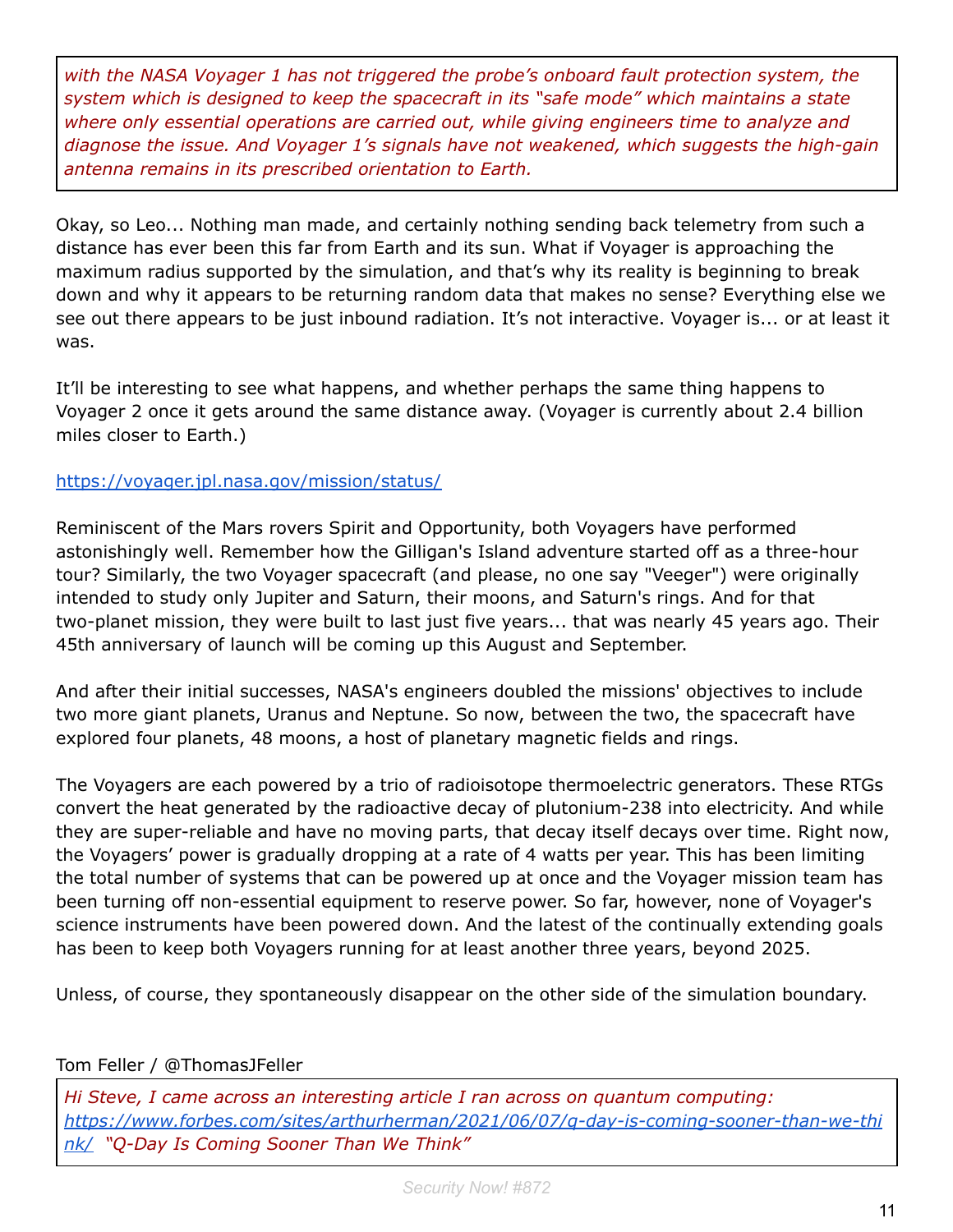*with the NASA Voyager 1 has not triggered the probe's onboard fault protection system, the system which is designed to keep the spacecraft in its "safe mode" which maintains a state where only essential operations are carried out, while giving engineers time to analyze and diagnose the issue. And Voyager 1's signals have not weakened, which suggests the high-gain antenna remains in its prescribed orientation to Earth.*

Okay, so Leo... Nothing man made, and certainly nothing sending back telemetry from such a distance has ever been this far from Earth and its sun. What if Voyager is approaching the maximum radius supported by the simulation, and that's why its reality is beginning to break down and why it appears to be returning random data that makes no sense? Everything else we see out there appears to be just inbound radiation. It's not interactive. Voyager is... or at least it was.

It'll be interesting to see what happens, and whether perhaps the same thing happens to Voyager 2 once it gets around the same distance away. (Voyager is currently about 2.4 billion miles closer to Earth.)

#### <https://voyager.jpl.nasa.gov/mission/status/>

Reminiscent of the Mars rovers Spirit and Opportunity, both Voyagers have performed astonishingly well. Remember how the Gilligan's Island adventure started off as a three-hour tour? Similarly, the two Voyager spacecraft (and please, no one say "Veeger") were originally intended to study only Jupiter and Saturn, their moons, and Saturn's rings. And for that two-planet mission, they were built to last just five years... that was nearly 45 years ago. Their 45th anniversary of launch will be coming up this August and September.

And after their initial successes, NASA's engineers doubled the missions' objectives to include two more giant planets, Uranus and Neptune. So now, between the two, the spacecraft have explored four planets, 48 moons, a host of planetary magnetic fields and rings.

The Voyagers are each powered by a trio of radioisotope thermoelectric generators. These RTGs convert the heat generated by the radioactive decay of plutonium-238 into electricity. And while they are super-reliable and have no moving parts, that decay itself decays over time. Right now, the Voyagers' power is gradually dropping at a rate of 4 watts per year. This has been limiting the total number of systems that can be powered up at once and the Voyager mission team has been turning off non-essential equipment to reserve power. So far, however, none of Voyager's science instruments have been powered down. And the latest of the continually extending goals has been to keep both Voyagers running for at least another three years, beyond 2025.

Unless, of course, they spontaneously disappear on the other side of the simulation boundary.

#### Tom Feller / @ThomasJFeller

*Hi Steve, I came across an interesting article I ran across on quantum computing: [https://www.forbes.com/sites/arthurherman/2021/06/07/q-day-is-coming-sooner-than-we-thi](https://www.forbes.com/sites/arthurherman/2021/06/07/q-day-is-coming-sooner-than-we-think/) [nk/](https://www.forbes.com/sites/arthurherman/2021/06/07/q-day-is-coming-sooner-than-we-think/) "Q-Day Is Coming Sooner Than We Think"*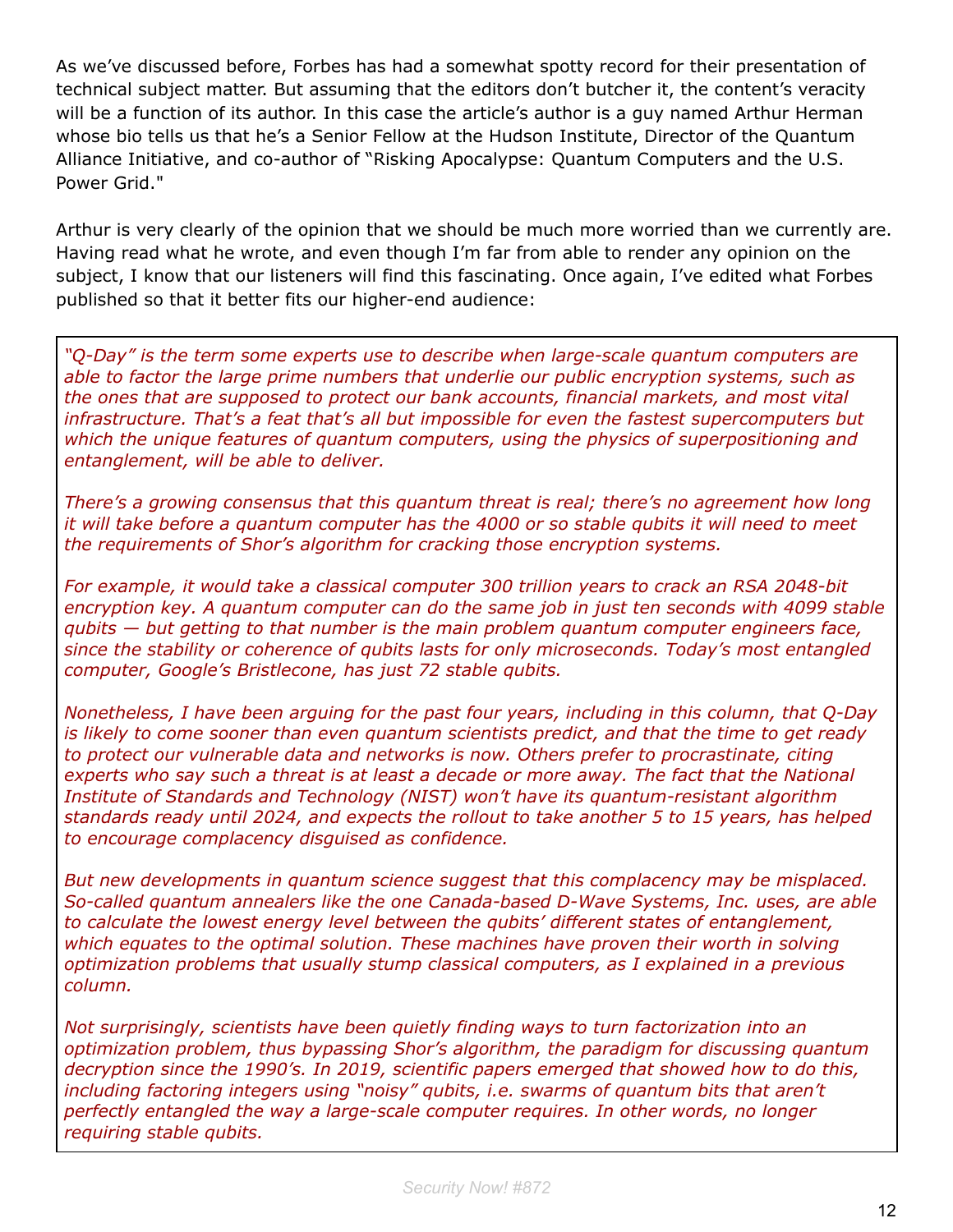As we've discussed before, Forbes has had a somewhat spotty record for their presentation of technical subject matter. But assuming that the editors don't butcher it, the content's veracity will be a function of its author. In this case the article's author is a guy named Arthur Herman whose bio tells us that he's a Senior Fellow at the Hudson Institute, Director of the Quantum Alliance Initiative, and co-author of "Risking Apocalypse: Quantum Computers and the U.S. Power Grid."

Arthur is very clearly of the opinion that we should be much more worried than we currently are. Having read what he wrote, and even though I'm far from able to render any opinion on the subject, I know that our listeners will find this fascinating. Once again, I've edited what Forbes published so that it better fits our higher-end audience:

*"Q-Day" is the term some experts use to describe when large-scale quantum computers are able to factor the large prime numbers that underlie our public encryption systems, such as the ones that are supposed to protect our bank accounts, financial markets, and most vital infrastructure. That's a feat that's all but impossible for even the fastest supercomputers but which the unique features of quantum computers, using the physics of superpositioning and entanglement, will be able to deliver.*

*There's a growing consensus that this quantum threat is real; there's no agreement how long it will take before a quantum computer has the 4000 or so stable qubits it will need to meet the requirements of Shor's algorithm for cracking those encryption systems.*

*For example, it would take a classical computer 300 trillion years to crack an RSA 2048-bit encryption key. A quantum computer can do the same job in just ten seconds with 4099 stable qubits — but getting to that number is the main problem quantum computer engineers face, since the stability or coherence of qubits lasts for only microseconds. Today's most entangled computer, Google's Bristlecone, has just 72 stable qubits.*

*Nonetheless, I have been arguing for the past four years, including in this column, that Q-Day is likely to come sooner than even quantum scientists predict, and that the time to get ready to protect our vulnerable data and networks is now. Others prefer to procrastinate, citing experts who say such a threat is at least a decade or more away. The fact that the National Institute of Standards and Technology (NIST) won't have its quantum-resistant algorithm standards ready until 2024, and expects the rollout to take another 5 to 15 years, has helped to encourage complacency disguised as confidence.*

*But new developments in quantum science suggest that this complacency may be misplaced. So-called quantum annealers like the one Canada-based D-Wave Systems, Inc. uses, are able to calculate the lowest energy level between the qubits' different states of entanglement, which equates to the optimal solution. These machines have proven their worth in solving optimization problems that usually stump classical computers, as I explained in a previous column.*

*Not surprisingly, scientists have been quietly finding ways to turn factorization into an optimization problem, thus bypassing Shor's algorithm, the paradigm for discussing quantum decryption since the 1990's. In 2019, scientific papers emerged that showed how to do this, including factoring integers using "noisy" qubits, i.e. swarms of quantum bits that aren't perfectly entangled the way a large-scale computer requires. In other words, no longer requiring stable qubits.*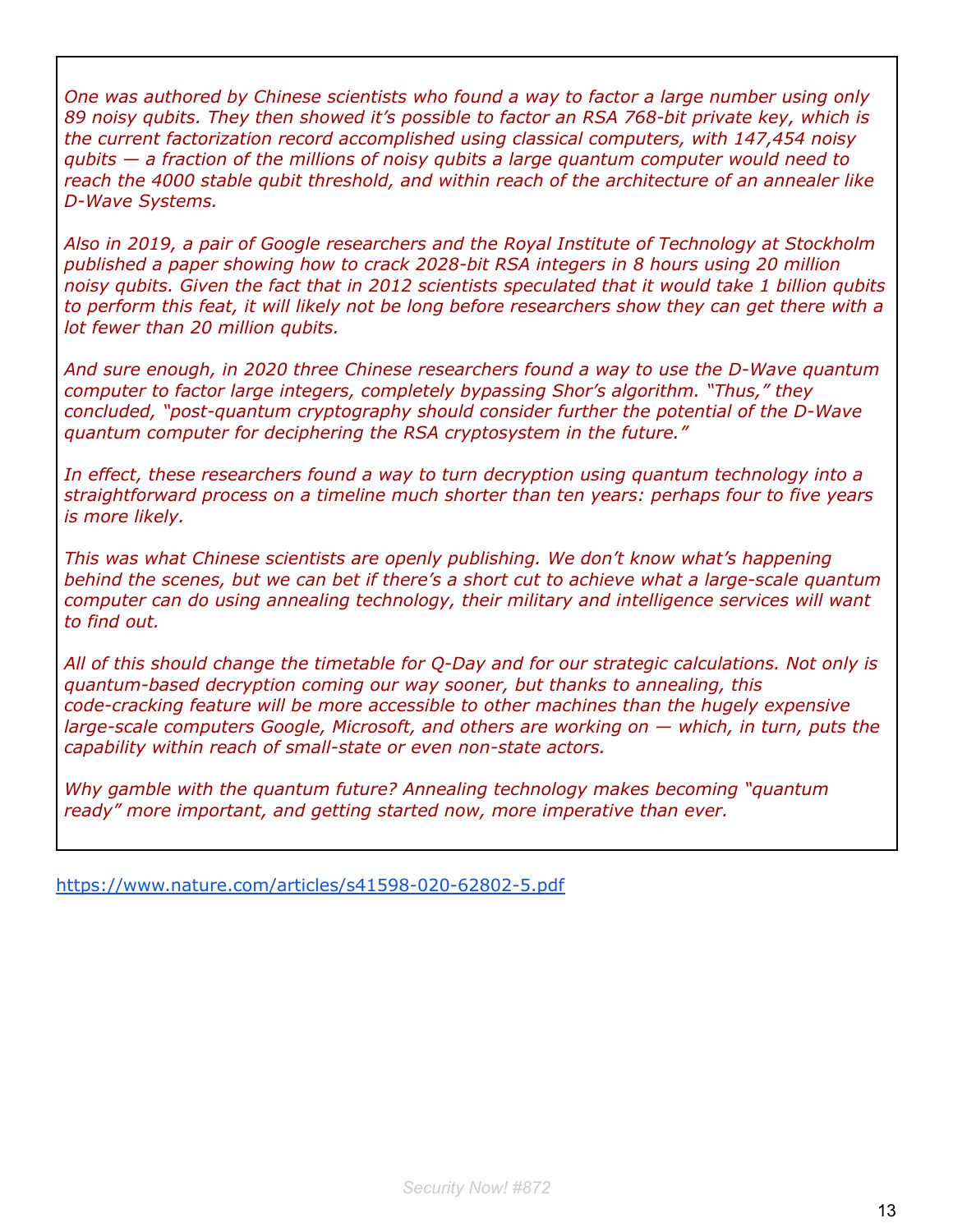*One was authored by Chinese scientists who found a way to factor a large number using only 89 noisy qubits. They then showed it's possible to factor an RSA 768-bit private key, which is the current factorization record accomplished using classical computers, with 147,454 noisy qubits — a fraction of the millions of noisy qubits a large quantum computer would need to reach the 4000 stable qubit threshold, and within reach of the architecture of an annealer like D-Wave Systems.*

*Also in 2019, a pair of Google researchers and the Royal Institute of Technology at Stockholm published a paper showing how to crack 2028-bit RSA integers in 8 hours using 20 million noisy qubits. Given the fact that in 2012 scientists speculated that it would take 1 billion qubits to perform this feat, it will likely not be long before researchers show they can get there with a lot fewer than 20 million qubits.*

*And sure enough, in 2020 three Chinese researchers found a way to use the D-Wave quantum computer to factor large integers, completely bypassing Shor's algorithm. "Thus," they concluded, "post-quantum cryptography should consider further the potential of the D-Wave quantum computer for deciphering the RSA cryptosystem in the future."*

*In effect, these researchers found a way to turn decryption using quantum technology into a straightforward process on a timeline much shorter than ten years: perhaps four to five years is more likely.*

*This was what Chinese scientists are openly publishing. We don't know what's happening behind the scenes, but we can bet if there's a short cut to achieve what a large-scale quantum computer can do using annealing technology, their military and intelligence services will want to find out.*

*All of this should change the timetable for Q-Day and for our strategic calculations. Not only is quantum-based decryption coming our way sooner, but thanks to annealing, this code-cracking feature will be more accessible to other machines than the hugely expensive large-scale computers Google, Microsoft, and others are working on — which, in turn, puts the capability within reach of small-state or even non-state actors.*

*Why gamble with the quantum future? Annealing technology makes becoming "quantum ready" more important, and getting started now, more imperative than ever.*

<https://www.nature.com/articles/s41598-020-62802-5.pdf>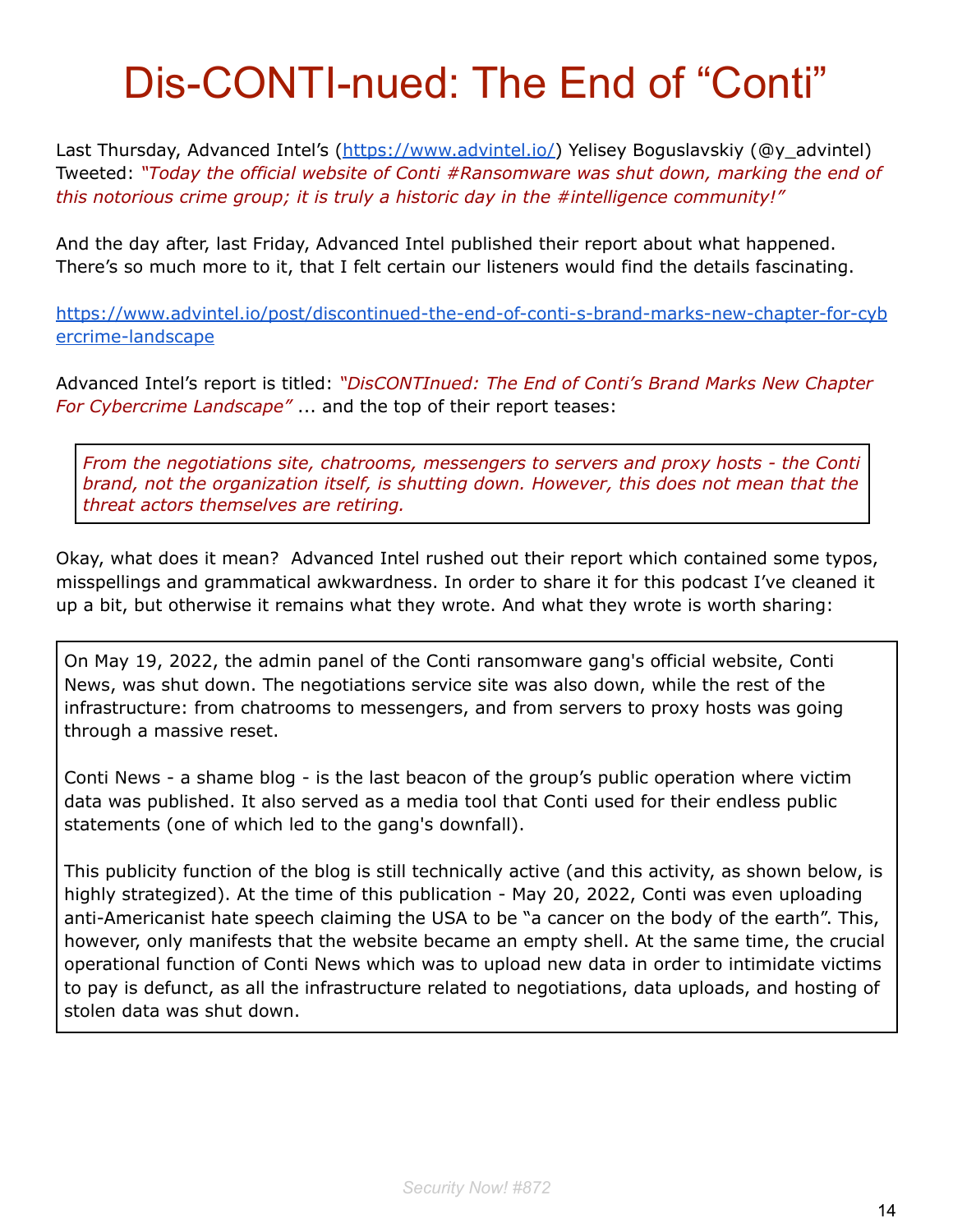# Dis-CONTI-nued: The End of "Conti"

Last Thursday, Advanced Intel's [\(https://www.advintel.io/\)](https://www.advintel.io/) Yelisey Boguslavskiy (@y\_advintel) Tweeted: *"Today the official website of Conti #Ransomware was shut down, marking the end of this notorious crime group; it is truly a historic day in the #intelligence community!"*

And the day after, last Friday, Advanced Intel published their report about what happened. There's so much more to it, that I felt certain our listeners would find the details fascinating.

[https://www.advintel.io/post/discontinued-the-end-of-conti-s-brand-marks-new-chapter-for-cyb](https://www.advintel.io/post/discontinued-the-end-of-conti-s-brand-marks-new-chapter-for-cybercrime-landscape) [ercrime-landscape](https://www.advintel.io/post/discontinued-the-end-of-conti-s-brand-marks-new-chapter-for-cybercrime-landscape)

Advanced Intel's report is titled: *"DisCONTInued: The End of Conti's Brand Marks New Chapter For Cybercrime Landscape"* ... and the top of their report teases:

*From the negotiations site, chatrooms, messengers to servers and proxy hosts - the Conti brand, not the organization itself, is shutting down. However, this does not mean that the threat actors themselves are retiring.*

Okay, what does it mean? Advanced Intel rushed out their report which contained some typos, misspellings and grammatical awkwardness. In order to share it for this podcast I've cleaned it up a bit, but otherwise it remains what they wrote. And what they wrote is worth sharing:

On May 19, 2022, the admin panel of the Conti ransomware gang's official website, Conti News, was shut down. The negotiations service site was also down, while the rest of the infrastructure: from chatrooms to messengers, and from servers to proxy hosts was going through a massive reset.

Conti News - a shame blog - is the last beacon of the group's public operation where victim data was published. It also served as a media tool that Conti used for their endless public statements (one of which led to the gang's downfall).

This publicity function of the blog is still technically active (and this activity, as shown below, is highly strategized). At the time of this publication - May 20, 2022, Conti was even uploading anti-Americanist hate speech claiming the USA to be "a cancer on the body of the earth". This, however, only manifests that the website became an empty shell. At the same time, the crucial operational function of Conti News which was to upload new data in order to intimidate victims to pay is defunct, as all the infrastructure related to negotiations, data uploads, and hosting of stolen data was shut down.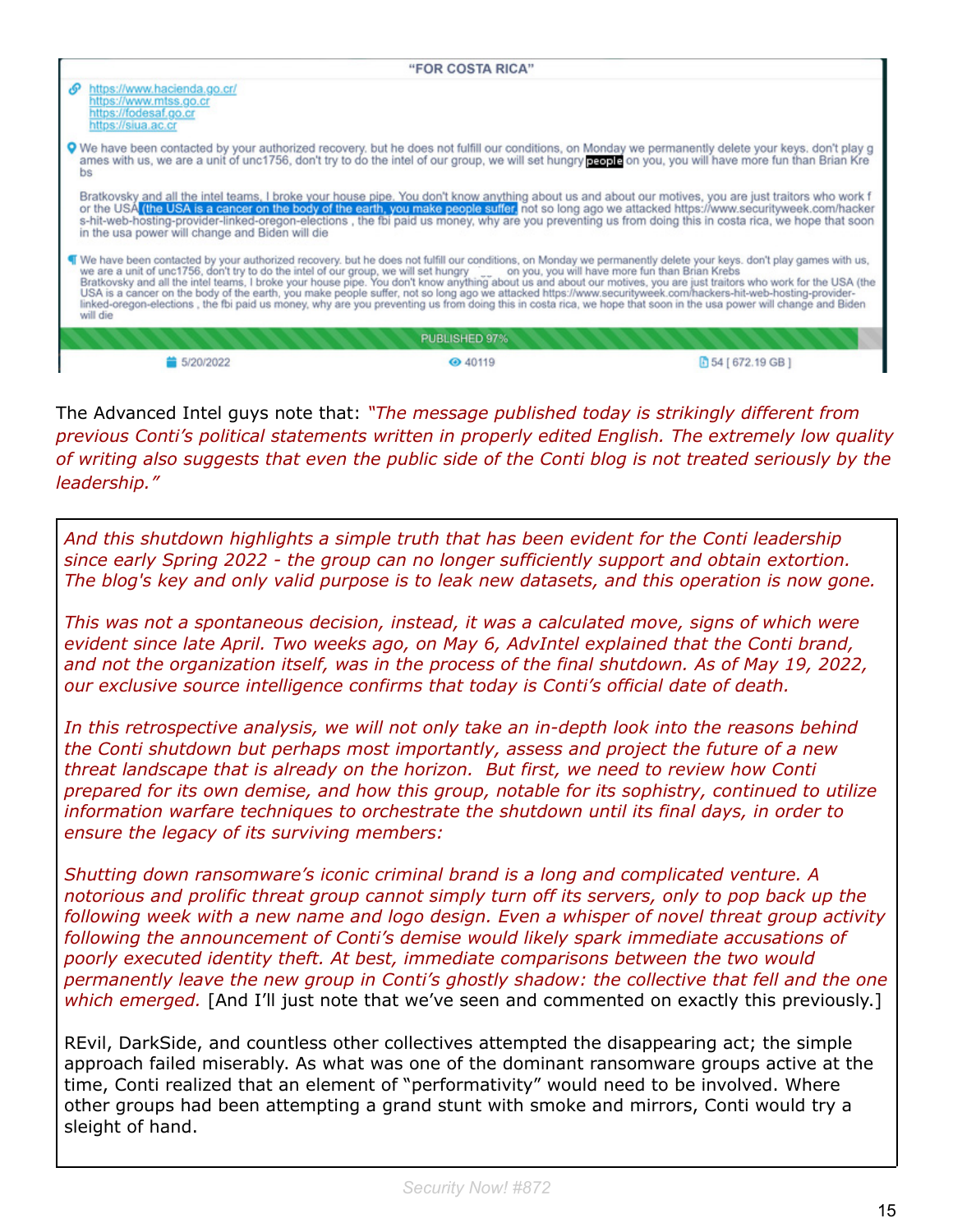| "FOR COSTA RICA" |                                                                                                                                                                                                                                                                                                                                                                                                                                                                                                                                                                                                                                                                                                                                                                                                                                      |               |                                                                                                                                                                                                                                                                                                                                                                                            |
|------------------|--------------------------------------------------------------------------------------------------------------------------------------------------------------------------------------------------------------------------------------------------------------------------------------------------------------------------------------------------------------------------------------------------------------------------------------------------------------------------------------------------------------------------------------------------------------------------------------------------------------------------------------------------------------------------------------------------------------------------------------------------------------------------------------------------------------------------------------|---------------|--------------------------------------------------------------------------------------------------------------------------------------------------------------------------------------------------------------------------------------------------------------------------------------------------------------------------------------------------------------------------------------------|
| ச                | https://www.hacienda.go.cr/<br>https://www.mtss.go.cr<br>https://fodesaf.go.cr<br>https://siua.ac.cr                                                                                                                                                                                                                                                                                                                                                                                                                                                                                                                                                                                                                                                                                                                                 |               |                                                                                                                                                                                                                                                                                                                                                                                            |
|                  | bs                                                                                                                                                                                                                                                                                                                                                                                                                                                                                                                                                                                                                                                                                                                                                                                                                                   |               | <b>Q</b> We have been contacted by your authorized recovery, but he does not fulfill our conditions, on Monday we permanently delete your keys, don't play g<br>ames with us, we are a unit of unc1756, don't try to do the intel of our group, we will set hungry pagala on you, you will have more fun than Brian Kre                                                                    |
|                  | in the usa power will change and Biden will die                                                                                                                                                                                                                                                                                                                                                                                                                                                                                                                                                                                                                                                                                                                                                                                      |               | Bratkovsky and all the intel teams, I broke your house pipe. You don't know anything about us and about our motives, you are just traitors who work f<br>or the USA (the USA is a cancer on the body of the earth, you make peopl<br>s-hit-web-hosting-provider-linked-oregon-elections, the fbi paid us money, why are you preventing us from doing this in costa rica, we hope that soon |
|                  | " We have been contacted by your authorized recovery, but he does not fulfill our conditions, on Monday we permanently delete your keys, don't play games with us,<br>we are a unit of unc1756, don't try to do the intel of our group, we will set hungry con you, you will have more fun than Brian Krebs<br>Bratkovsky and all the intel teams, I broke your house pipe. You don't know anything about us and about our motives, you are just traitors who work for the USA (the<br>USA is a cancer on the body of the earth, you make people suffer, not so long ago we attacked https://www.securityweek.com/hackers-hit-web-hosting-provider-<br>linked-oregon-elections, the fbi paid us money, why are you preventing us from doing this in costa rica, we hope that soon in the usa power will change and Biden<br>will die |               |                                                                                                                                                                                                                                                                                                                                                                                            |
|                  |                                                                                                                                                                                                                                                                                                                                                                                                                                                                                                                                                                                                                                                                                                                                                                                                                                      | PUBLISHED 97% |                                                                                                                                                                                                                                                                                                                                                                                            |
|                  | 5/20/2022                                                                                                                                                                                                                                                                                                                                                                                                                                                                                                                                                                                                                                                                                                                                                                                                                            | → 40119       | 图 54 [ 672.19 GB ]                                                                                                                                                                                                                                                                                                                                                                         |

The Advanced Intel guys note that: *"The message published today is strikingly different from previous Conti's political statements written in properly edited English. The extremely low quality of writing also suggests that even the public side of the Conti blog is not treated seriously by the leadership."*

*And this shutdown highlights a simple truth that has been evident for the Conti leadership since early Spring 2022 - the group can no longer sufficiently support and obtain extortion. The blog's key and only valid purpose is to leak new datasets, and this operation is now gone.*

*This was not a spontaneous decision, instead, it was a calculated move, signs of which were evident since late April. Two weeks ago, on May 6, AdvIntel explained that the Conti brand, and not the organization itself, was in the process of the final shutdown. As of May 19, 2022, our exclusive source intelligence confirms that today is Conti's official date of death.*

*In this retrospective analysis, we will not only take an in-depth look into the reasons behind the Conti shutdown but perhaps most importantly, assess and project the future of a new threat landscape that is already on the horizon. But first, we need to review how Conti prepared for its own demise, and how this group, notable for its sophistry, continued to utilize information warfare techniques to orchestrate the shutdown until its final days, in order to ensure the legacy of its surviving members:*

*Shutting down ransomware's iconic criminal brand is a long and complicated venture. A notorious and prolific threat group cannot simply turn off its servers, only to pop back up the following week with a new name and logo design. Even a whisper of novel threat group activity following the announcement of Conti's demise would likely spark immediate accusations of poorly executed identity theft. At best, immediate comparisons between the two would permanently leave the new group in Conti's ghostly shadow: the collective that fell and the one which emerged.* [And I'll just note that we've seen and commented on exactly this previously.]

REvil, DarkSide, and countless other collectives attempted the disappearing act; the simple approach failed miserably. As what was one of the dominant ransomware groups active at the time, Conti realized that an element of "performativity" would need to be involved. Where other groups had been attempting a grand stunt with smoke and mirrors, Conti would try a sleight of hand.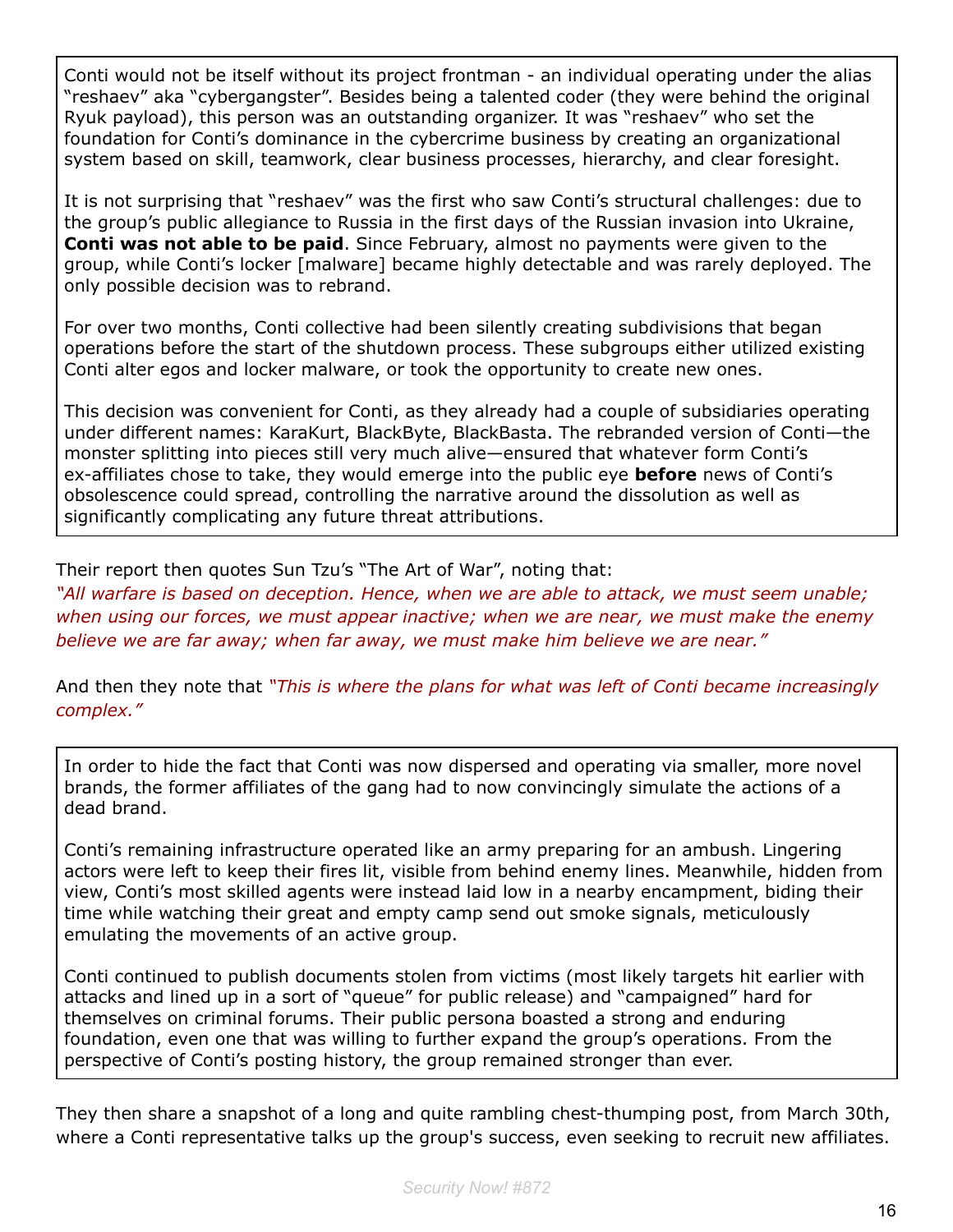Conti would not be itself without its project frontman - an individual operating under the alias "reshaev" aka "cybergangster". Besides being a talented coder (they were behind the original Ryuk payload), this person was an outstanding organizer. It was "reshaev" who set the foundation for Conti's dominance in the cybercrime business by creating an organizational system based on skill, teamwork, clear business processes, hierarchy, and clear foresight.

It is not surprising that "reshaev" was the first who saw Conti's structural challenges: due to the group's public allegiance to Russia in the first days of the Russian invasion into Ukraine, **Conti was not able to be paid**. Since February, almost no payments were given to the group, while Conti's locker [malware] became highly detectable and was rarely deployed. The only possible decision was to rebrand.

For over two months, Conti collective had been silently creating subdivisions that began operations before the start of the shutdown process. These subgroups either utilized existing Conti alter egos and locker malware, or took the opportunity to create new ones.

This decision was convenient for Conti, as they already had a couple of subsidiaries operating under different names: KaraKurt, BlackByte, BlackBasta. The rebranded version of Conti—the monster splitting into pieces still very much alive—ensured that whatever form Conti's ex-affiliates chose to take, they would emerge into the public eye **before** news of Conti's obsolescence could spread, controlling the narrative around the dissolution as well as significantly complicating any future threat attributions.

Their report then quotes Sun Tzu's "The Art of War", noting that:

*"All warfare is based on deception. Hence, when we are able to attack, we must seem unable; when using our forces, we must appear inactive; when we are near, we must make the enemy believe we are far away; when far away, we must make him believe we are near."*

And then they note that *"This is where the plans for what was left of Conti became increasingly complex."*

In order to hide the fact that Conti was now dispersed and operating via smaller, more novel brands, the former affiliates of the gang had to now convincingly simulate the actions of a dead brand.

Conti's remaining infrastructure operated like an army preparing for an ambush. Lingering actors were left to keep their fires lit, visible from behind enemy lines. Meanwhile, hidden from view, Conti's most skilled agents were instead laid low in a nearby encampment, biding their time while watching their great and empty camp send out smoke signals, meticulously emulating the movements of an active group.

Conti continued to publish documents stolen from victims (most likely targets hit earlier with attacks and lined up in a sort of "queue" for public release) and "campaigned" hard for themselves on criminal forums. Their public persona boasted a strong and enduring foundation, even one that was willing to further expand the group's operations. From the perspective of Conti's posting history, the group remained stronger than ever.

They then share a snapshot of a long and quite rambling chest-thumping post, from March 30th, where a Conti representative talks up the group's success, even seeking to recruit new affiliates.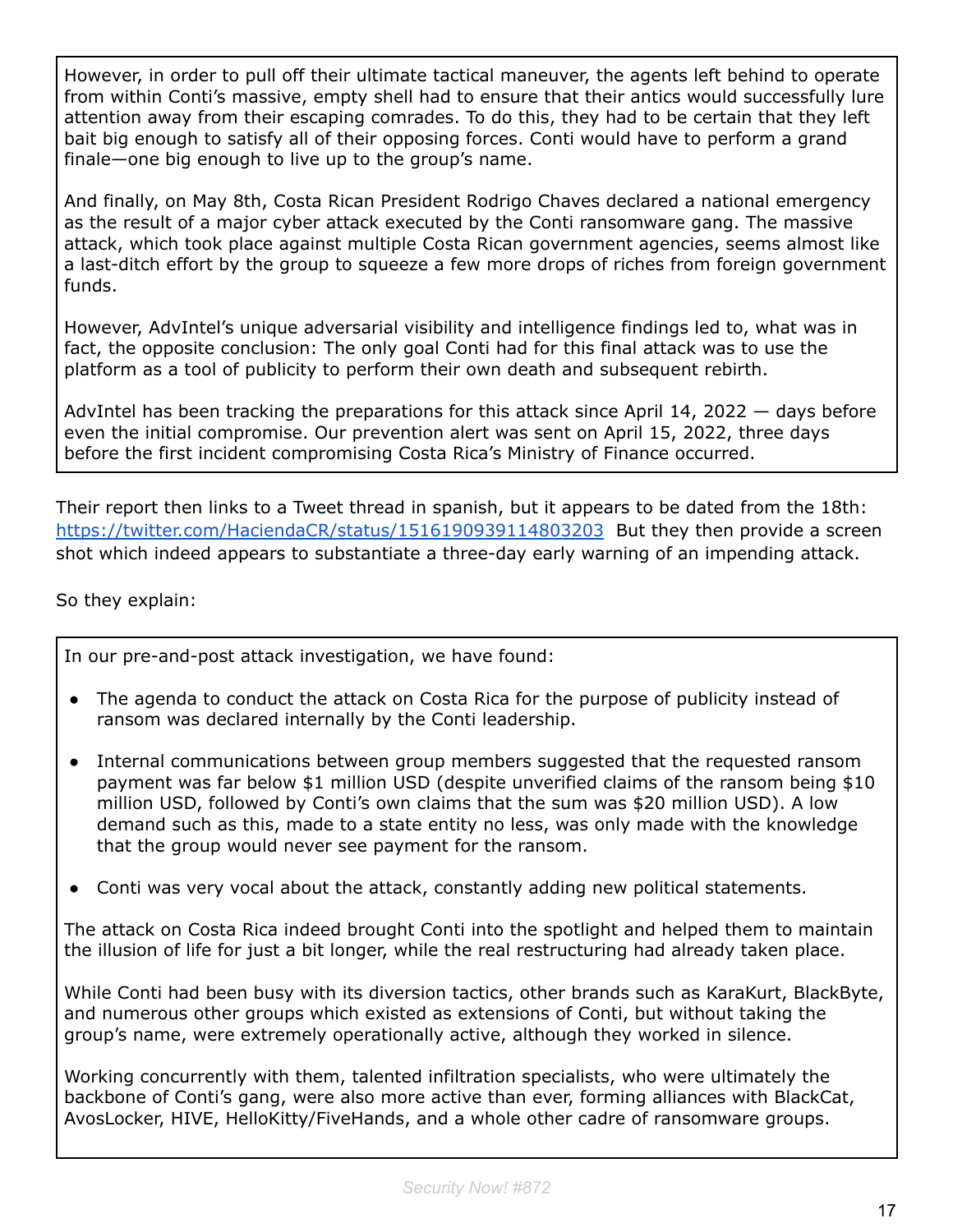However, in order to pull off their ultimate tactical maneuver, the agents left behind to operate from within Conti's massive, empty shell had to ensure that their antics would successfully lure attention away from their escaping comrades. To do this, they had to be certain that they left bait big enough to satisfy all of their opposing forces. Conti would have to perform a grand finale—one big enough to live up to the group's name.

And finally, on May 8th, Costa Rican President Rodrigo Chaves declared a national emergency as the result of a major cyber attack executed by the Conti ransomware gang. The massive attack, which took place against multiple Costa Rican government agencies, seems almost like a last-ditch effort by the group to squeeze a few more drops of riches from foreign government funds.

However, AdvIntel's unique adversarial visibility and intelligence findings led to, what was in fact, the opposite conclusion: The only goal Conti had for this final attack was to use the platform as a tool of publicity to perform their own death and subsequent rebirth.

AdvIntel has been tracking the preparations for this attack since April 14, 2022 — days before even the initial compromise. Our prevention alert was sent on April 15, 2022, three days before the first incident compromising Costa Rica's Ministry of Finance occurred.

Their report then links to a Tweet thread in spanish, but it appears to be dated from the 18th: <https://twitter.com/HaciendaCR/status/1516190939114803203> But they then provide a screen shot which indeed appears to substantiate a three-day early warning of an impending attack.

So they explain:

In our pre-and-post attack investigation, we have found:

- The agenda to conduct the attack on Costa Rica for the purpose of publicity instead of ransom was declared internally by the Conti leadership.
- Internal communications between group members suggested that the requested ransom payment was far below \$1 million USD (despite unverified claims of the ransom being \$10 million USD, followed by Conti's own claims that the sum was \$20 million USD). A low demand such as this, made to a state entity no less, was only made with the knowledge that the group would never see payment for the ransom.
- Conti was very vocal about the attack, constantly adding new political statements.

The attack on Costa Rica indeed brought Conti into the spotlight and helped them to maintain the illusion of life for just a bit longer, while the real restructuring had already taken place.

While Conti had been busy with its diversion tactics, other brands such as KaraKurt, BlackByte, and numerous other groups which existed as extensions of Conti, but without taking the group's name, were extremely operationally active, although they worked in silence.

Working concurrently with them, talented infiltration specialists, who were ultimately the backbone of Conti's gang, were also more active than ever, forming alliances with BlackCat, AvosLocker, HIVE, HelloKitty/FiveHands, and a whole other cadre of ransomware groups.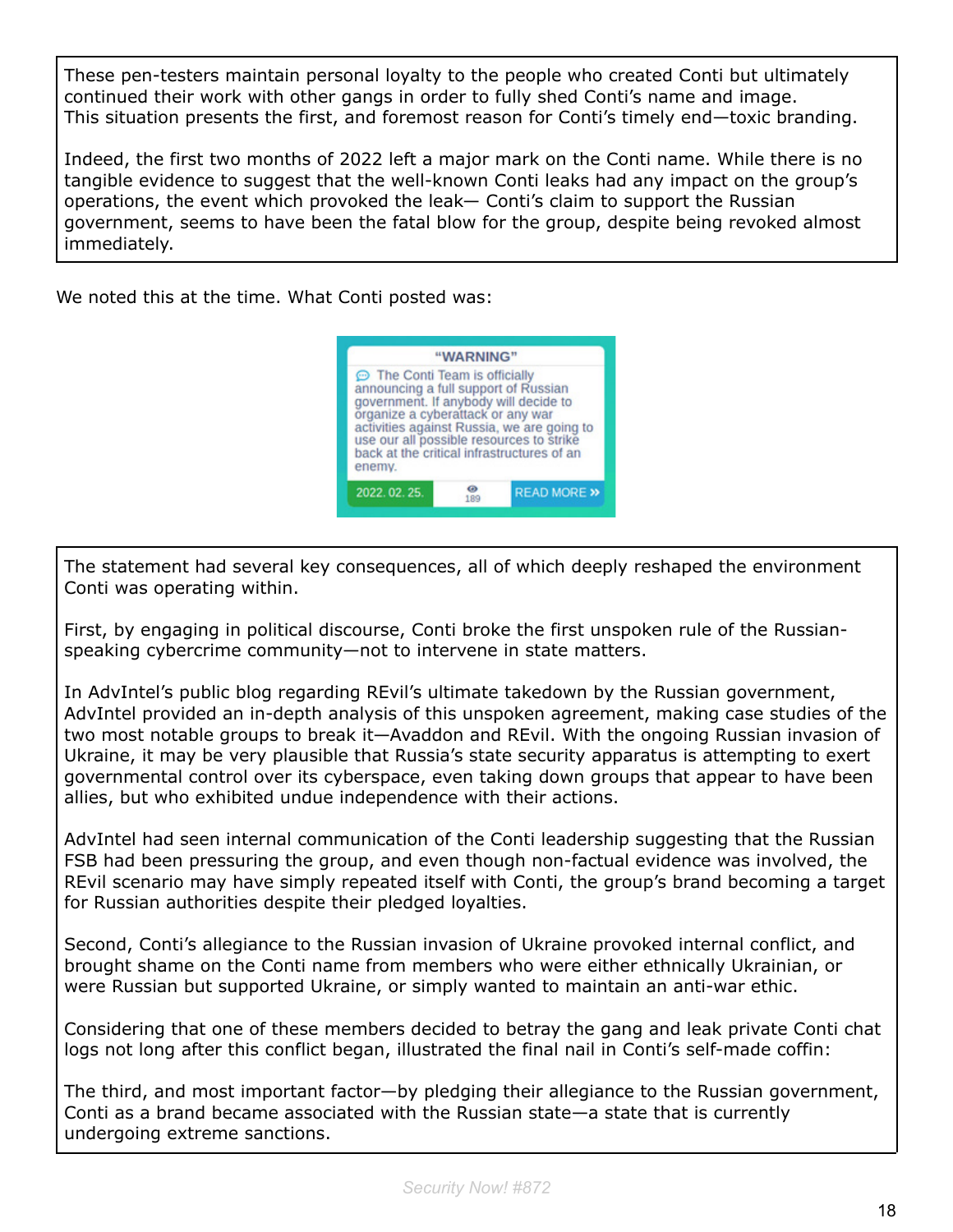These pen-testers maintain personal loyalty to the people who created Conti but ultimately continued their work with other gangs in order to fully shed Conti's name and image. This situation presents the first, and foremost reason for Conti's timely end—toxic branding.

Indeed, the first two months of 2022 left a major mark on the Conti name. While there is no tangible evidence to suggest that the well-known Conti leaks had any impact on the group's operations, the event which provoked the leak— Conti's claim to support the Russian government, seems to have been the fatal blow for the group, despite being revoked almost immediately.

We noted this at the time. What Conti posted was:



The statement had several key consequences, all of which deeply reshaped the environment Conti was operating within.

First, by engaging in political discourse, Conti broke the first unspoken rule of the Russianspeaking cybercrime community—not to intervene in state matters.

In AdvIntel's public blog regarding REvil's ultimate takedown by the Russian government, AdvIntel provided an in-depth analysis of this unspoken agreement, making case studies of the two most notable groups to break it—Avaddon and REvil. With the ongoing Russian invasion of Ukraine, it may be very plausible that Russia's state security apparatus is attempting to exert governmental control over its cyberspace, even taking down groups that appear to have been allies, but who exhibited undue independence with their actions.

AdvIntel had seen internal communication of the Conti leadership suggesting that the Russian FSB had been pressuring the group, and even though non-factual evidence was involved, the REvil scenario may have simply repeated itself with Conti, the group's brand becoming a target for Russian authorities despite their pledged loyalties.

Second, Conti's allegiance to the Russian invasion of Ukraine provoked internal conflict, and brought shame on the Conti name from members who were either ethnically Ukrainian, or were Russian but supported Ukraine, or simply wanted to maintain an anti-war ethic.

Considering that one of these members decided to betray the gang and leak private Conti chat logs not long after this conflict began, illustrated the final nail in Conti's self-made coffin:

The third, and most important factor—by pledging their allegiance to the Russian government, Conti as a brand became associated with the Russian state—a state that is currently undergoing extreme sanctions.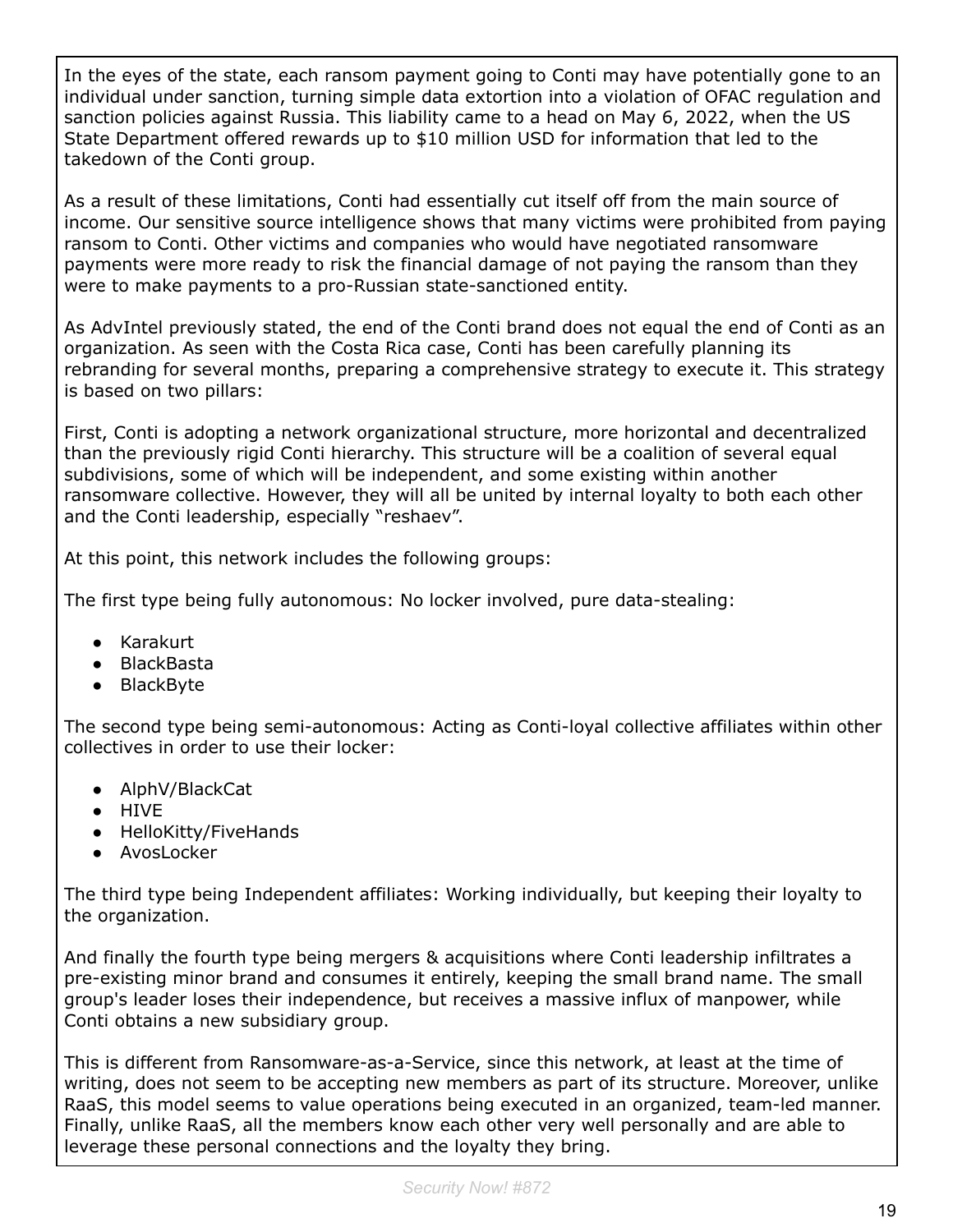In the eyes of the state, each ransom payment going to Conti may have potentially gone to an individual under sanction, turning simple data extortion into a violation of OFAC regulation and sanction policies against Russia. This liability came to a head on May 6, 2022, when the US State Department offered rewards up to \$10 million USD for information that led to the takedown of the Conti group.

As a result of these limitations, Conti had essentially cut itself off from the main source of income. Our sensitive source intelligence shows that many victims were prohibited from paying ransom to Conti. Other victims and companies who would have negotiated ransomware payments were more ready to risk the financial damage of not paying the ransom than they were to make payments to a pro-Russian state-sanctioned entity.

As AdvIntel previously stated, the end of the Conti brand does not equal the end of Conti as an organization. As seen with the Costa Rica case, Conti has been carefully planning its rebranding for several months, preparing a comprehensive strategy to execute it. This strategy is based on two pillars:

First, Conti is adopting a network organizational structure, more horizontal and decentralized than the previously rigid Conti hierarchy. This structure will be a coalition of several equal subdivisions, some of which will be independent, and some existing within another ransomware collective. However, they will all be united by internal loyalty to both each other and the Conti leadership, especially "reshaev".

At this point, this network includes the following groups:

The first type being fully autonomous: No locker involved, pure data-stealing:

- Karakurt
- BlackBasta
- BlackByte

The second type being semi-autonomous: Acting as Conti-loyal collective affiliates within other collectives in order to use their locker:

- AlphV/BlackCat
- HIVE
- HelloKitty/FiveHands
- AvosLocker

The third type being Independent affiliates: Working individually, but keeping their loyalty to the organization.

And finally the fourth type being mergers & acquisitions where Conti leadership infiltrates a pre-existing minor brand and consumes it entirely, keeping the small brand name. The small group's leader loses their independence, but receives a massive influx of manpower, while Conti obtains a new subsidiary group.

This is different from Ransomware-as-a-Service, since this network, at least at the time of writing, does not seem to be accepting new members as part of its structure. Moreover, unlike RaaS, this model seems to value operations being executed in an organized, team-led manner. Finally, unlike RaaS, all the members know each other very well personally and are able to leverage these personal connections and the loyalty they bring.